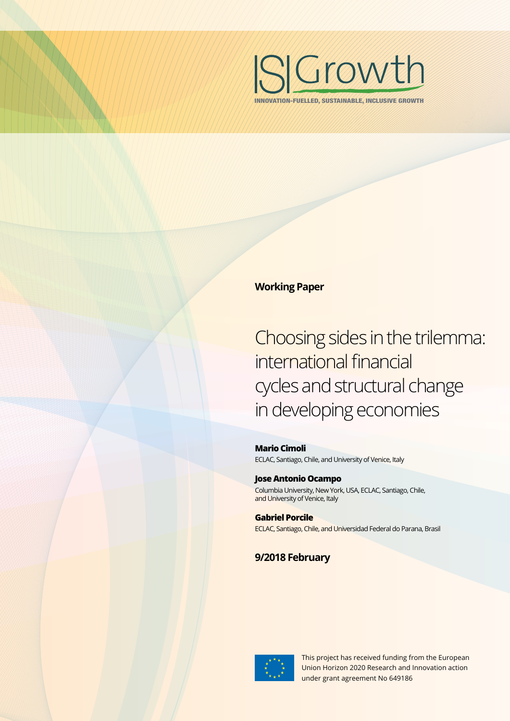

INNOVATION-FUELLED, SUSTAINABLE, INCLUSIVE GROWTH

### **Working Paper**

Choosing sides in the trilemma: international financial cycles and structural change in developing economies

**Mario Cimoli** ECLAC, Santiago, Chile, and University of Venice, Italy

**Jose Antonio Ocampo** Columbia University, New York, USA, ECLAC, Santiago, Chile, and University of Venice, Italy

**Gabriel Porcile** ECLAC, Santiago, Chile, and Universidad Federal do Parana, Brasil

**9/2018 February**



This project has received funding from the European Union Horizon 2020 Research and Innovation action under grant agreement No 649186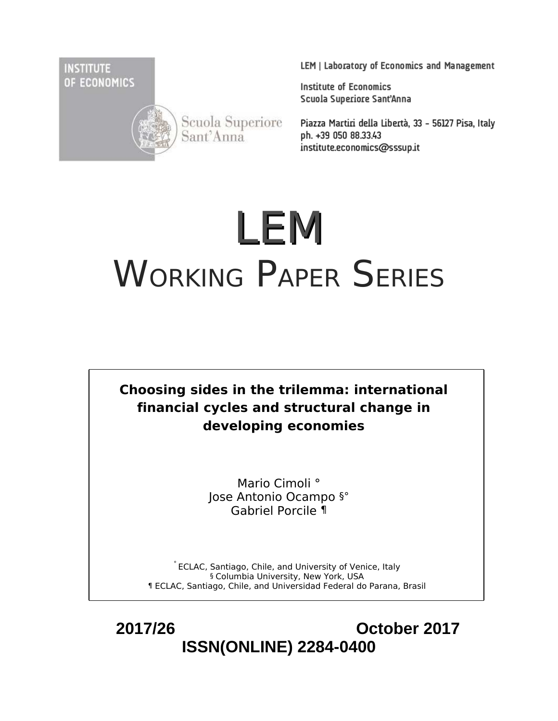**INSTITUTE** OF ECONOMICS



Scuola Superiore<br>Sant'Anna

LEM | Laboratory of Economics and Management

**Institute of Economics** Scuola Superiore Sant'Anna

Piazza Martiri della Libertà, 33 - 56127 Pisa, Italy ph. +39 050 88.33.43 institute.economics@sssup.it

# LEM WORKING PAPER SERIES



Mario Cimoli ° Jose Antonio Ocampo §° Gabriel Porcile ¶

° ECLAC, Santiago, Chile, and University of Venice, Italy § Columbia University, New York, USA ¶ ECLAC, Santiago, Chile, and Universidad Federal do Parana, Brasil

 **2017/26 October 2017 ISSN(ONLINE) 2284-0400**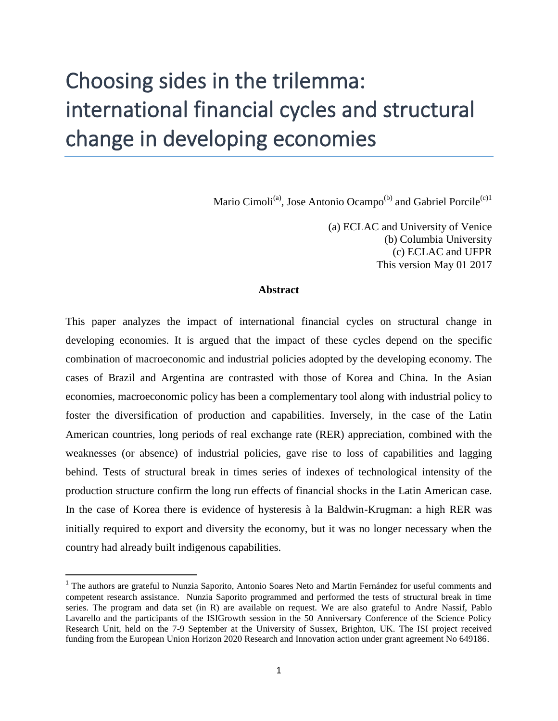# Choosing sides in the trilemma: international financial cycles and structural change in developing economies

Mario Cimoli<sup>(a)</sup>, Jose Antonio Ocampo<sup>(b)</sup> and Gabriel Porcile<sup>(c)1</sup>

(a) ECLAC and University of Venice (b) Columbia University (c) ECLAC and UFPR This version May 01 2017

#### **Abstract**

This paper analyzes the impact of international financial cycles on structural change in developing economies. It is argued that the impact of these cycles depend on the specific combination of macroeconomic and industrial policies adopted by the developing economy. The cases of Brazil and Argentina are contrasted with those of Korea and China. In the Asian economies, macroeconomic policy has been a complementary tool along with industrial policy to foster the diversification of production and capabilities. Inversely, in the case of the Latin American countries, long periods of real exchange rate (RER) appreciation, combined with the weaknesses (or absence) of industrial policies, gave rise to loss of capabilities and lagging behind. Tests of structural break in times series of indexes of technological intensity of the production structure confirm the long run effects of financial shocks in the Latin American case. In the case of Korea there is evidence of hysteresis à la Baldwin-Krugman: a high RER was initially required to export and diversity the economy, but it was no longer necessary when the country had already built indigenous capabilities.

<sup>&</sup>lt;sup>1</sup> The authors are grateful to Nunzia Saporito, Antonio Soares Neto and Martin Fernández for useful comments and competent research assistance. Nunzia Saporito programmed and performed the tests of structural break in time series. The program and data set (in R) are available on request. We are also grateful to Andre Nassif, Pablo Lavarello and the participants of the ISIGrowth session in the 50 Anniversary Conference of the Science Policy Research Unit, held on the 7-9 September at the University of Sussex, Brighton, UK. The ISI project received funding from the European Union Horizon 2020 Research and Innovation action under grant agreement No 649186.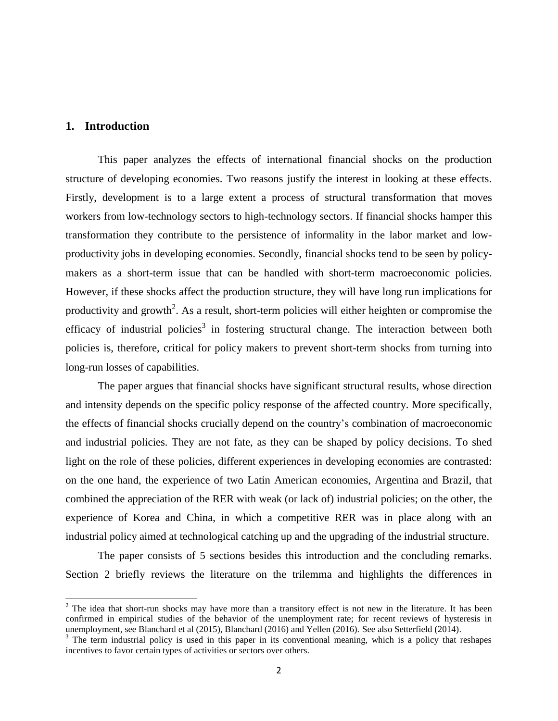#### **1. Introduction**

 $\overline{a}$ 

This paper analyzes the effects of international financial shocks on the production structure of developing economies. Two reasons justify the interest in looking at these effects. Firstly, development is to a large extent a process of structural transformation that moves workers from low-technology sectors to high-technology sectors. If financial shocks hamper this transformation they contribute to the persistence of informality in the labor market and lowproductivity jobs in developing economies. Secondly, financial shocks tend to be seen by policymakers as a short-term issue that can be handled with short-term macroeconomic policies. However, if these shocks affect the production structure, they will have long run implications for productivity and growth<sup>2</sup>. As a result, short-term policies will either heighten or compromise the efficacy of industrial policies<sup>3</sup> in fostering structural change. The interaction between both policies is, therefore, critical for policy makers to prevent short-term shocks from turning into long-run losses of capabilities.

The paper argues that financial shocks have significant structural results, whose direction and intensity depends on the specific policy response of the affected country. More specifically, the effects of financial shocks crucially depend on the country's combination of macroeconomic and industrial policies. They are not fate, as they can be shaped by policy decisions. To shed light on the role of these policies, different experiences in developing economies are contrasted: on the one hand, the experience of two Latin American economies, Argentina and Brazil, that combined the appreciation of the RER with weak (or lack of) industrial policies; on the other, the experience of Korea and China, in which a competitive RER was in place along with an industrial policy aimed at technological catching up and the upgrading of the industrial structure.

The paper consists of 5 sections besides this introduction and the concluding remarks. Section 2 briefly reviews the literature on the trilemma and highlights the differences in

 $2$  The idea that short-run shocks may have more than a transitory effect is not new in the literature. It has been confirmed in empirical studies of the behavior of the unemployment rate; for recent reviews of hysteresis in unemployment, see Blanchard et al (2015), Blanchard (2016) and Yellen (2016). See also Setterfield (2014).

 $3$  The term industrial policy is used in this paper in its conventional meaning, which is a policy that reshapes incentives to favor certain types of activities or sectors over others.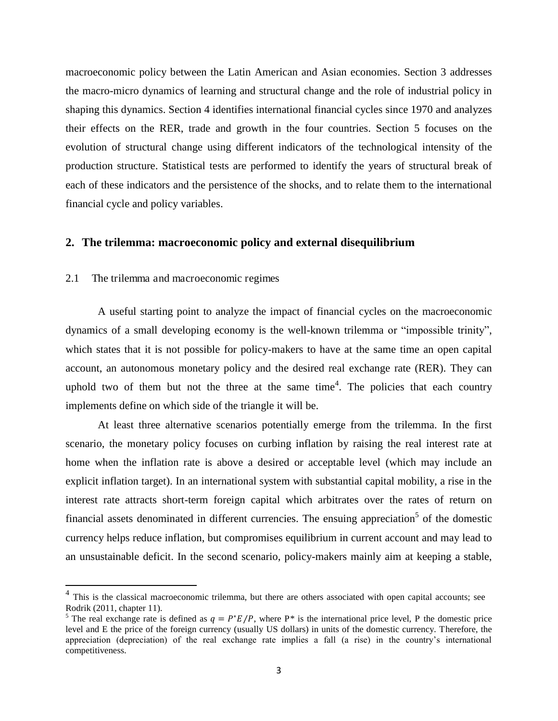macroeconomic policy between the Latin American and Asian economies. Section 3 addresses the macro-micro dynamics of learning and structural change and the role of industrial policy in shaping this dynamics. Section 4 identifies international financial cycles since 1970 and analyzes their effects on the RER, trade and growth in the four countries. Section 5 focuses on the evolution of structural change using different indicators of the technological intensity of the production structure. Statistical tests are performed to identify the years of structural break of each of these indicators and the persistence of the shocks, and to relate them to the international financial cycle and policy variables.

#### **2. The trilemma: macroeconomic policy and external disequilibrium**

#### 2.1 The trilemma and macroeconomic regimes

l

A useful starting point to analyze the impact of financial cycles on the macroeconomic dynamics of a small developing economy is the well-known trilemma or "impossible trinity", which states that it is not possible for policy-makers to have at the same time an open capital account, an autonomous monetary policy and the desired real exchange rate (RER). They can uphold two of them but not the three at the same time<sup>4</sup>. The policies that each country implements define on which side of the triangle it will be.

At least three alternative scenarios potentially emerge from the trilemma. In the first scenario, the monetary policy focuses on curbing inflation by raising the real interest rate at home when the inflation rate is above a desired or acceptable level (which may include an explicit inflation target). In an international system with substantial capital mobility, a rise in the interest rate attracts short-term foreign capital which arbitrates over the rates of return on financial assets denominated in different currencies. The ensuing appreciation<sup>5</sup> of the domestic currency helps reduce inflation, but compromises equilibrium in current account and may lead to an unsustainable deficit. In the second scenario, policy-makers mainly aim at keeping a stable,

<sup>&</sup>lt;sup>4</sup> This is the classical macroeconomic trilemma, but there are others associated with open capital accounts; see Rodrik (2011, chapter 11).

<sup>&</sup>lt;sup>5</sup> The real exchange rate is defined as  $q = P^*E/P$ , where P<sup>\*</sup> is the international price level, P the domestic price level and E the price of the foreign currency (usually US dollars) in units of the domestic currency. Therefore, the appreciation (depreciation) of the real exchange rate implies a fall (a rise) in the country's international competitiveness.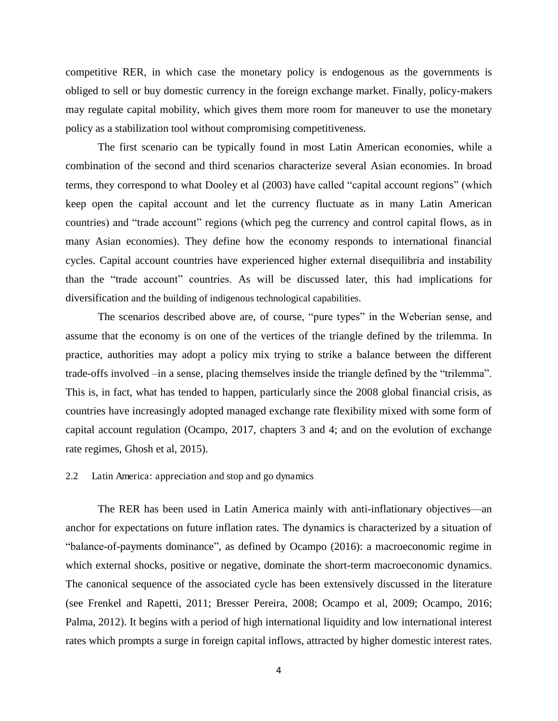competitive RER, in which case the monetary policy is endogenous as the governments is obliged to sell or buy domestic currency in the foreign exchange market. Finally, policy-makers may regulate capital mobility, which gives them more room for maneuver to use the monetary policy as a stabilization tool without compromising competitiveness.

The first scenario can be typically found in most Latin American economies, while a combination of the second and third scenarios characterize several Asian economies. In broad terms, they correspond to what Dooley et al (2003) have called "capital account regions" (which keep open the capital account and let the currency fluctuate as in many Latin American countries) and "trade account" regions (which peg the currency and control capital flows, as in many Asian economies). They define how the economy responds to international financial cycles. Capital account countries have experienced higher external disequilibria and instability than the "trade account" countries. As will be discussed later, this had implications for diversification and the building of indigenous technological capabilities.

The scenarios described above are, of course, "pure types" in the Weberian sense, and assume that the economy is on one of the vertices of the triangle defined by the trilemma. In practice, authorities may adopt a policy mix trying to strike a balance between the different trade-offs involved –in a sense, placing themselves inside the triangle defined by the "trilemma". This is, in fact, what has tended to happen, particularly since the 2008 global financial crisis, as countries have increasingly adopted managed exchange rate flexibility mixed with some form of capital account regulation (Ocampo, 2017, chapters 3 and 4; and on the evolution of exchange rate regimes, Ghosh et al, 2015).

#### 2.2 Latin America: appreciation and stop and go dynamics

The RER has been used in Latin America mainly with anti-inflationary objectives—an anchor for expectations on future inflation rates. The dynamics is characterized by a situation of "balance-of-payments dominance", as defined by Ocampo (2016): a macroeconomic regime in which external shocks, positive or negative, dominate the short-term macroeconomic dynamics. The canonical sequence of the associated cycle has been extensively discussed in the literature (see Frenkel and Rapetti, 2011; Bresser Pereira, 2008; Ocampo et al, 2009; Ocampo, 2016; Palma, 2012). It begins with a period of high international liquidity and low international interest rates which prompts a surge in foreign capital inflows, attracted by higher domestic interest rates.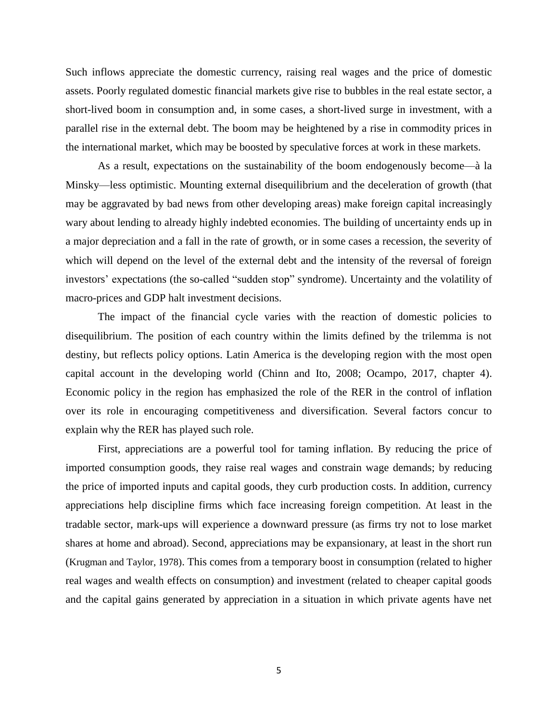Such inflows appreciate the domestic currency, raising real wages and the price of domestic assets. Poorly regulated domestic financial markets give rise to bubbles in the real estate sector, a short-lived boom in consumption and, in some cases, a short-lived surge in investment, with a parallel rise in the external debt. The boom may be heightened by a rise in commodity prices in the international market, which may be boosted by speculative forces at work in these markets.

As a result, expectations on the sustainability of the boom endogenously become—à la Minsky—less optimistic. Mounting external disequilibrium and the deceleration of growth (that may be aggravated by bad news from other developing areas) make foreign capital increasingly wary about lending to already highly indebted economies. The building of uncertainty ends up in a major depreciation and a fall in the rate of growth, or in some cases a recession, the severity of which will depend on the level of the external debt and the intensity of the reversal of foreign investors' expectations (the so-called "sudden stop" syndrome). Uncertainty and the volatility of macro-prices and GDP halt investment decisions.

The impact of the financial cycle varies with the reaction of domestic policies to disequilibrium. The position of each country within the limits defined by the trilemma is not destiny, but reflects policy options. Latin America is the developing region with the most open capital account in the developing world (Chinn and Ito, 2008; Ocampo, 2017, chapter 4). Economic policy in the region has emphasized the role of the RER in the control of inflation over its role in encouraging competitiveness and diversification. Several factors concur to explain why the RER has played such role.

First, appreciations are a powerful tool for taming inflation. By reducing the price of imported consumption goods, they raise real wages and constrain wage demands; by reducing the price of imported inputs and capital goods, they curb production costs. In addition, currency appreciations help discipline firms which face increasing foreign competition. At least in the tradable sector, mark-ups will experience a downward pressure (as firms try not to lose market shares at home and abroad). Second, appreciations may be expansionary, at least in the short run (Krugman and Taylor, 1978). This comes from a temporary boost in consumption (related to higher real wages and wealth effects on consumption) and investment (related to cheaper capital goods and the capital gains generated by appreciation in a situation in which private agents have net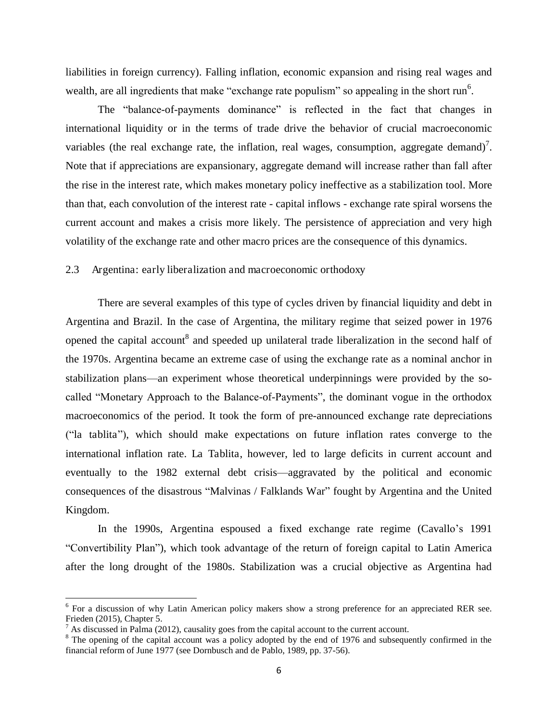liabilities in foreign currency). Falling inflation, economic expansion and rising real wages and wealth, are all ingredients that make "exchange rate populism" so appealing in the short run<sup>6</sup>.

The "balance-of-payments dominance" is reflected in the fact that changes in international liquidity or in the terms of trade drive the behavior of crucial macroeconomic variables (the real exchange rate, the inflation, real wages, consumption, aggregate demand)<sup>7</sup>. Note that if appreciations are expansionary, aggregate demand will increase rather than fall after the rise in the interest rate, which makes monetary policy ineffective as a stabilization tool. More than that, each convolution of the interest rate - capital inflows - exchange rate spiral worsens the current account and makes a crisis more likely. The persistence of appreciation and very high volatility of the exchange rate and other macro prices are the consequence of this dynamics.

#### 2.3 Argentina: early liberalization and macroeconomic orthodoxy

There are several examples of this type of cycles driven by financial liquidity and debt in Argentina and Brazil. In the case of Argentina, the military regime that seized power in 1976 opened the capital account<sup>8</sup> and speeded up unilateral trade liberalization in the second half of the 1970s. Argentina became an extreme case of using the exchange rate as a nominal anchor in stabilization plans—an experiment whose theoretical underpinnings were provided by the socalled "Monetary Approach to the Balance-of-Payments", the dominant vogue in the orthodox macroeconomics of the period. It took the form of pre-announced exchange rate depreciations (―la tablita‖), which should make expectations on future inflation rates converge to the international inflation rate. La Tablita, however, led to large deficits in current account and eventually to the 1982 external debt crisis—aggravated by the political and economic consequences of the disastrous "Malvinas / Falklands War" fought by Argentina and the United Kingdom.

In the 1990s, Argentina espoused a fixed exchange rate regime (Cavallo's 1991 ―Convertibility Plan‖), which took advantage of the return of foreign capital to Latin America after the long drought of the 1980s. Stabilization was a crucial objective as Argentina had

 $\overline{a}$ 

<sup>&</sup>lt;sup>6</sup> For a discussion of why Latin American policy makers show a strong preference for an appreciated RER see. Frieden (2015), Chapter 5.

 $<sup>7</sup>$  As discussed in Palma (2012), causality goes from the capital account to the current account.</sup>

<sup>&</sup>lt;sup>8</sup> The opening of the capital account was a policy adopted by the end of 1976 and subsequently confirmed in the financial reform of June 1977 (see Dornbusch and de Pablo, 1989, pp. 37-56).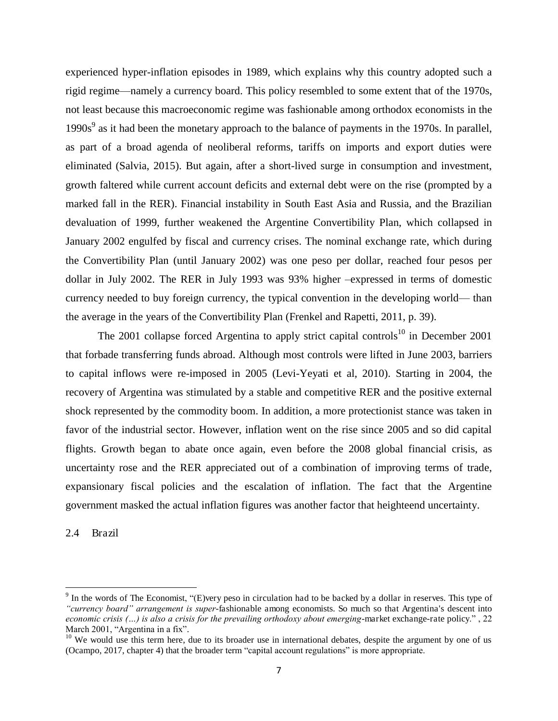experienced hyper-inflation episodes in 1989, which explains why this country adopted such a rigid regime—namely a currency board. This policy resembled to some extent that of the 1970s, not least because this macroeconomic regime was fashionable among orthodox economists in the  $1990s<sup>9</sup>$  as it had been the monetary approach to the balance of payments in the 1970s. In parallel, as part of a broad agenda of neoliberal reforms, tariffs on imports and export duties were eliminated (Salvia, 2015). But again, after a short-lived surge in consumption and investment, growth faltered while current account deficits and external debt were on the rise (prompted by a marked fall in the RER). Financial instability in South East Asia and Russia, and the Brazilian devaluation of 1999, further weakened the Argentine Convertibility Plan, which collapsed in January 2002 engulfed by fiscal and currency crises. The nominal exchange rate, which during the Convertibility Plan (until January 2002) was one peso per dollar, reached four pesos per dollar in July 2002. The RER in July 1993 was 93% higher –expressed in terms of domestic currency needed to buy foreign currency, the typical convention in the developing world— than the average in the years of the Convertibility Plan (Frenkel and Rapetti, 2011, p. 39).

The 2001 collapse forced Argentina to apply strict capital controls<sup>10</sup> in December 2001 that forbade transferring funds abroad. Although most controls were lifted in June 2003, barriers to capital inflows were re-imposed in 2005 (Levi-Yeyati et al, 2010). Starting in 2004, the recovery of Argentina was stimulated by a stable and competitive RER and the positive external shock represented by the commodity boom. In addition, a more protectionist stance was taken in favor of the industrial sector. However, inflation went on the rise since 2005 and so did capital flights. Growth began to abate once again, even before the 2008 global financial crisis, as uncertainty rose and the RER appreciated out of a combination of improving terms of trade, expansionary fiscal policies and the escalation of inflation. The fact that the Argentine government masked the actual inflation figures was another factor that heighteend uncertainty.

2.4 Brazil

 $\overline{\phantom{0}}$ 

 $9$  In the words of The Economist, "(E)very peso in circulation had to be backed by a dollar in reserves. This type of *"currency board" arrangement is super*-fashionable among economists. So much so that Argentina's descent into *economic crisis (...) is also a crisis for the prevailing orthodoxy about emerging*-market exchange-rate policy.", 22 March 2001, "Argentina in a fix".

<sup>&</sup>lt;sup>10</sup> We would use this term here, due to its broader use in international debates, despite the argument by one of us (Ocampo, 2017, chapter 4) that the broader term "capital account regulations" is more appropriate.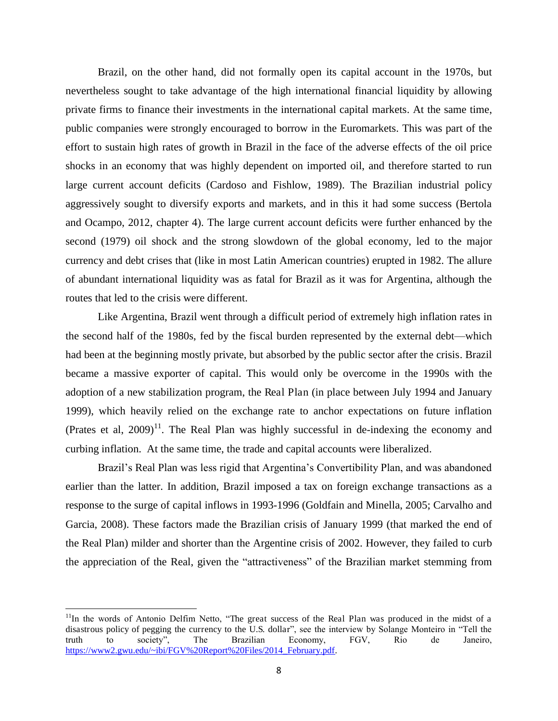Brazil, on the other hand, did not formally open its capital account in the 1970s, but nevertheless sought to take advantage of the high international financial liquidity by allowing private firms to finance their investments in the international capital markets. At the same time, public companies were strongly encouraged to borrow in the Euromarkets. This was part of the effort to sustain high rates of growth in Brazil in the face of the adverse effects of the oil price shocks in an economy that was highly dependent on imported oil, and therefore started to run large current account deficits (Cardoso and Fishlow, 1989). The Brazilian industrial policy aggressively sought to diversify exports and markets, and in this it had some success (Bertola and Ocampo, 2012, chapter 4). The large current account deficits were further enhanced by the second (1979) oil shock and the strong slowdown of the global economy, led to the major currency and debt crises that (like in most Latin American countries) erupted in 1982. The allure of abundant international liquidity was as fatal for Brazil as it was for Argentina, although the routes that led to the crisis were different.

Like Argentina, Brazil went through a difficult period of extremely high inflation rates in the second half of the 1980s, fed by the fiscal burden represented by the external debt—which had been at the beginning mostly private, but absorbed by the public sector after the crisis. Brazil became a massive exporter of capital. This would only be overcome in the 1990s with the adoption of a new stabilization program, the Real Plan (in place between July 1994 and January 1999), which heavily relied on the exchange rate to anchor expectations on future inflation (Prates et al,  $2009$ )<sup>11</sup>. The Real Plan was highly successful in de-indexing the economy and curbing inflation. At the same time, the trade and capital accounts were liberalized.

Brazil's Real Plan was less rigid that Argentina's Convertibility Plan, and was abandoned earlier than the latter. In addition, Brazil imposed a tax on foreign exchange transactions as a response to the surge of capital inflows in 1993-1996 (Goldfain and Minella, 2005; Carvalho and Garcia, 2008). These factors made the Brazilian crisis of January 1999 (that marked the end of the Real Plan) milder and shorter than the Argentine crisis of 2002. However, they failed to curb the appreciation of the Real, given the "attractiveness" of the Brazilian market stemming from

 $11$ In the words of Antonio Delfim Netto, "The great success of the Real Plan was produced in the midst of a disastrous policy of pegging the currency to the U.S. dollar", see the interview by Solange Monteiro in "Tell the truth to society", The Brazilian Economy, FGV, Rio de Janeiro, [https://www2.gwu.edu/~ibi/FGV%20Report%20Files/2014\\_February.pdf.](https://www2.gwu.edu/~ibi/FGV%20Report%20Files/2014_February.pdf)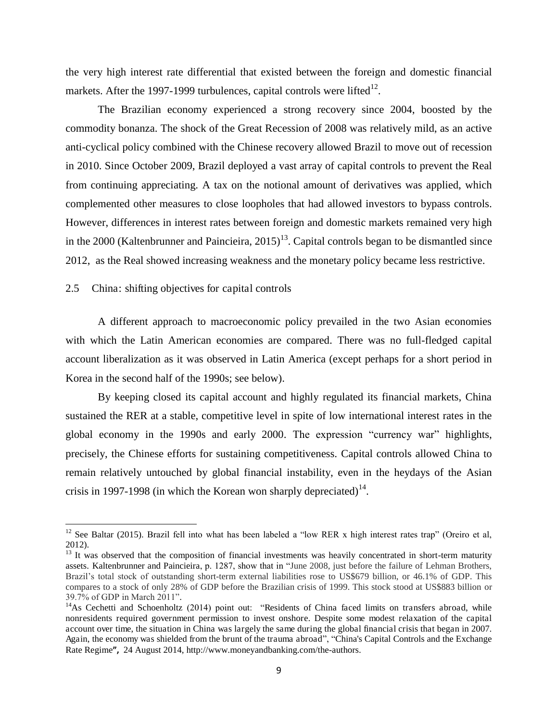the very high interest rate differential that existed between the foreign and domestic financial markets. After the 1997-1999 turbulences, capital controls were lifted $^{12}$ .

The Brazilian economy experienced a strong recovery since 2004, boosted by the commodity bonanza. The shock of the Great Recession of 2008 was relatively mild, as an active anti-cyclical policy combined with the Chinese recovery allowed Brazil to move out of recession in 2010. Since October 2009, Brazil deployed a vast array of capital controls to prevent the Real from continuing appreciating. A tax on the notional amount of derivatives was applied, which complemented other measures to close loopholes that had allowed investors to bypass controls. However, differences in interest rates between foreign and domestic markets remained very high in the 2000 (Kaltenbrunner and Paincieira,  $2015$ <sup>13</sup>. Capital controls began to be dismantled since 2012, as the Real showed increasing weakness and the monetary policy became less restrictive.

2.5 China: shifting objectives for capital controls

 $\overline{\phantom{0}}$ 

A different approach to macroeconomic policy prevailed in the two Asian economies with which the Latin American economies are compared. There was no full-fledged capital account liberalization as it was observed in Latin America (except perhaps for a short period in Korea in the second half of the 1990s; see below).

By keeping closed its capital account and highly regulated its financial markets, China sustained the RER at a stable, competitive level in spite of low international interest rates in the global economy in the 1990s and early 2000. The expression "currency war" highlights, precisely, the Chinese efforts for sustaining competitiveness. Capital controls allowed China to remain relatively untouched by global financial instability, even in the heydays of the Asian crisis in 1997-1998 (in which the Korean won sharply depreciated)<sup>14</sup>.

<sup>&</sup>lt;sup>12</sup> See Baltar (2015). Brazil fell into what has been labeled a "low RER x high interest rates trap" (Oreiro et al, 2012).

 $13$  It was observed that the composition of financial investments was heavily concentrated in short-term maturity assets. Kaltenbrunner and Paincieira, p. 1287, show that in "June 2008, just before the failure of Lehman Brothers, Brazil's total stock of outstanding short-term external liabilities rose to US\$679 billion, or 46.1% of GDP. This compares to a stock of only 28% of GDP before the Brazilian crisis of 1999. This stock stood at US\$883 billion or 39.7% of GDP in March 2011".

<sup>&</sup>lt;sup>14</sup>As Cechetti and Schoenholtz (2014) point out: "Residents of China faced limits on transfers abroad, while nonresidents required government permission to invest onshore. Despite some modest relaxation of the capital account over time, the situation in China was largely the same during the global financial crisis that began in 2007. Again, the economy was shielded from the brunt of the trauma abroad", "China's Capital Controls and the Exchange [Rate Regime](http://www.moneyandbanking.com/commentary/2014/8/28/chinas-capital-controls-and-the-exchange-rate-regime)**",** 24 August 2014, [http://www.moneyandbanking.com/the-authors.](http://www.moneyandbanking.com/the-authors)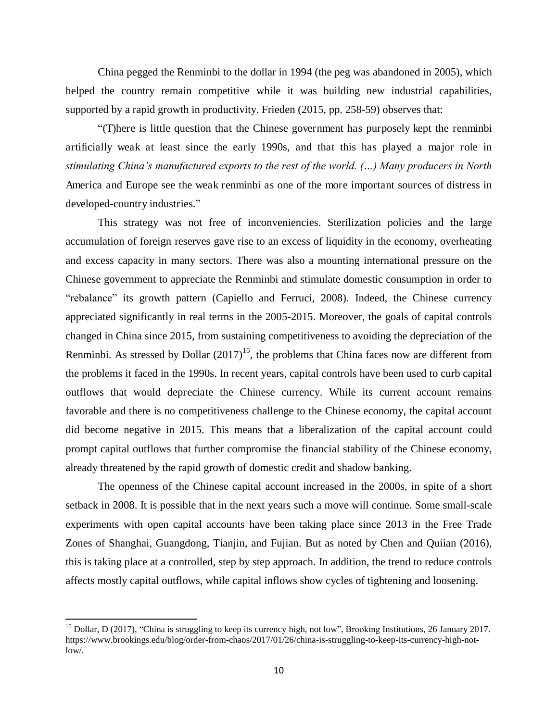China pegged the Renminbi to the dollar in 1994 (the peg was abandoned in 2005), which helped the country remain competitive while it was building new industrial capabilities, supported by a rapid growth in productivity. Frieden (2015, pp. 258-59) observes that:

―(T)here is little question that the Chinese government has purposely kept the renminbi artificially weak at least since the early 1990s, and that this has played a major role in *stimulating China"s manufactured exports to the rest of the world. (…) Many producers in North*  America and Europe see the weak renminbi as one of the more important sources of distress in developed-country industries."

This strategy was not free of inconveniencies. Sterilization policies and the large accumulation of foreign reserves gave rise to an excess of liquidity in the economy, overheating and excess capacity in many sectors. There was also a mounting international pressure on the Chinese government to appreciate the Renminbi and stimulate domestic consumption in order to "rebalance" its growth pattern (Capiello and Ferruci, 2008). Indeed, the Chinese currency appreciated significantly in real terms in the 2005-2015. Moreover, the goals of capital controls changed in China since 2015, from sustaining competitiveness to avoiding the depreciation of the Renminbi. As stressed by Dollar  $(2017)^{15}$ , the problems that China faces now are different from the problems it faced in the 1990s. In recent years, capital controls have been used to curb capital outflows that would depreciate the Chinese currency. While its current account remains favorable and there is no competitiveness challenge to the Chinese economy, the capital account did become negative in 2015. This means that a liberalization of the capital account could prompt capital outflows that further compromise the financial stability of the Chinese economy, already threatened by the rapid growth of domestic credit and shadow banking.

The openness of the Chinese capital account increased in the 2000s, in spite of a short setback in 2008. It is possible that in the next years such a move will continue. Some small-scale experiments with open capital accounts have been taking place since 2013 in the Free Trade Zones of Shanghai, Guangdong, Tianjin, and Fujian. But as noted by Chen and Quiian (2016), this is taking place at a controlled, step by step approach. In addition, the trend to reduce controls affects mostly capital outflows, while capital inflows show cycles of tightening and loosening.

<sup>&</sup>lt;sup>15</sup> Dollar, D (2017), "China is struggling to keep its currency high, not low", Brooking Institutions, 26 January 2017. https://www.brookings.edu/blog/order-from-chaos/2017/01/26/china-is-struggling-to-keep-its-currency-high-notlow/.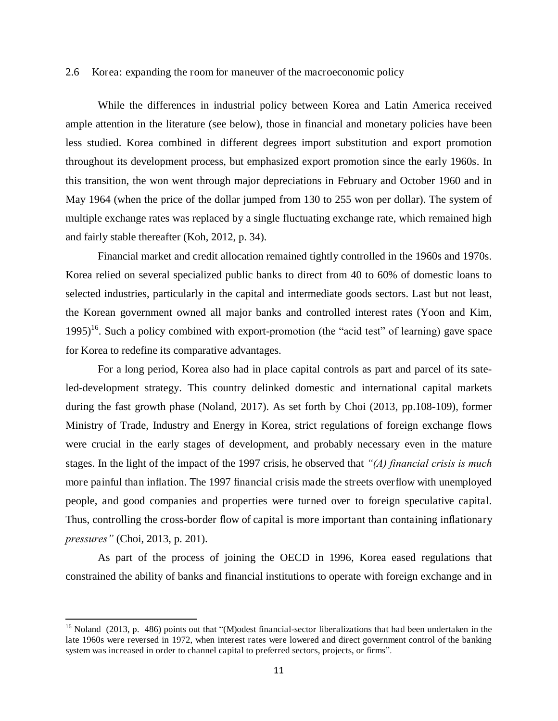#### 2.6 Korea: expanding the room for maneuver of the macroeconomic policy

While the differences in industrial policy between Korea and Latin America received ample attention in the literature (see below), those in financial and monetary policies have been less studied. Korea combined in different degrees import substitution and export promotion throughout its development process, but emphasized export promotion since the early 1960s. In this transition, the won went through major depreciations in February and October 1960 and in May 1964 (when the price of the dollar jumped from 130 to 255 won per dollar). The system of multiple exchange rates was replaced by a single fluctuating exchange rate, which remained high and fairly stable thereafter (Koh, 2012, p. 34).

Financial market and credit allocation remained tightly controlled in the 1960s and 1970s. Korea relied on several specialized public banks to direct from 40 to 60% of domestic loans to selected industries, particularly in the capital and intermediate goods sectors. Last but not least, the Korean government owned all major banks and controlled interest rates (Yoon and Kim,  $1995$ <sup>16</sup>. Such a policy combined with export-promotion (the "acid test" of learning) gave space for Korea to redefine its comparative advantages.

For a long period, Korea also had in place capital controls as part and parcel of its sateled-development strategy. This country delinked domestic and international capital markets during the fast growth phase (Noland, 2017). As set forth by Choi (2013, pp.108-109), former Ministry of Trade, Industry and Energy in Korea, strict regulations of foreign exchange flows were crucial in the early stages of development, and probably necessary even in the mature stages. In the light of the impact of the 1997 crisis, he observed that *"(A) financial crisis is much*  more painful than inflation. The 1997 financial crisis made the streets overflow with unemployed people, and good companies and properties were turned over to foreign speculative capital. Thus, controlling the cross-border flow of capital is more important than containing inflationary *pressures"* (Choi, 2013, p. 201).

As part of the process of joining the OECD in 1996, Korea eased regulations that constrained the ability of banks and financial institutions to operate with foreign exchange and in

<sup>&</sup>lt;sup>16</sup> Noland (2013, p. 486) points out that "(M)odest financial-sector liberalizations that had been undertaken in the late 1960s were reversed in 1972, when interest rates were lowered and direct government control of the banking system was increased in order to channel capital to preferred sectors, projects, or firms".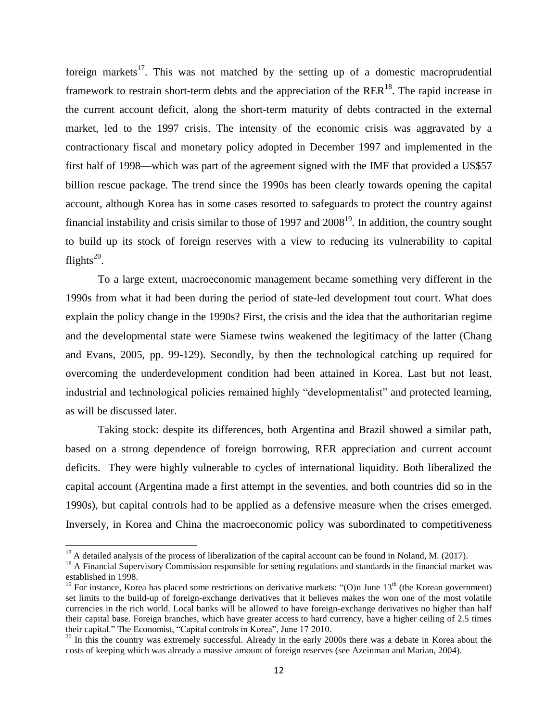foreign markets<sup>17</sup>. This was not matched by the setting up of a domestic macroprudential framework to restrain short-term debts and the appreciation of the  $RER<sup>18</sup>$ . The rapid increase in the current account deficit, along the short-term maturity of debts contracted in the external market, led to the 1997 crisis. The intensity of the economic crisis was aggravated by a contractionary fiscal and monetary policy adopted in December 1997 and implemented in the first half of 1998—which was part of the agreement signed with the IMF that provided a US\$57 billion rescue package. The trend since the 1990s has been clearly towards opening the capital account, although Korea has in some cases resorted to safeguards to protect the country against financial instability and crisis similar to those of 1997 and  $2008<sup>19</sup>$ . In addition, the country sought to build up its stock of foreign reserves with a view to reducing its vulnerability to capital flights $^{20}$ .

To a large extent, macroeconomic management became something very different in the 1990s from what it had been during the period of state-led development tout court. What does explain the policy change in the 1990s? First, the crisis and the idea that the authoritarian regime and the developmental state were Siamese twins weakened the legitimacy of the latter (Chang and Evans, 2005, pp. 99-129). Secondly, by then the technological catching up required for overcoming the underdevelopment condition had been attained in Korea. Last but not least, industrial and technological policies remained highly "developmentalist" and protected learning, as will be discussed later.

Taking stock: despite its differences, both Argentina and Brazil showed a similar path, based on a strong dependence of foreign borrowing, RER appreciation and current account deficits. They were highly vulnerable to cycles of international liquidity. Both liberalized the capital account (Argentina made a first attempt in the seventies, and both countries did so in the 1990s), but capital controls had to be applied as a defensive measure when the crises emerged. Inversely, in Korea and China the macroeconomic policy was subordinated to competitiveness

 $\overline{a}$ 

 $17$  A detailed analysis of the process of liberalization of the capital account can be found in Noland, M. (2017).

<sup>&</sup>lt;sup>18</sup> A Financial Supervisory Commission responsible for setting regulations and standards in the financial market was established in 1998.

<sup>&</sup>lt;sup>19</sup> For instance, Korea has placed some restrictions on derivative markets: "(O)n June  $13<sup>th</sup>$  (the Korean government) set limits to the build-up of foreign-exchange derivatives that it believes makes the won one of the most volatile currencies in the rich world. Local banks will be allowed to have foreign-exchange derivatives no higher than half their capital base. Foreign branches, which have greater access to hard currency, have a higher ceiling of 2.5 times their capital." The Economist, "Capital controls in Korea", June 17 2010.

 $20$  In this the country was extremely successful. Already in the early 2000s there was a debate in Korea about the costs of keeping which was already a massive amount of foreign reserves (see Azeinman and Marian, 2004).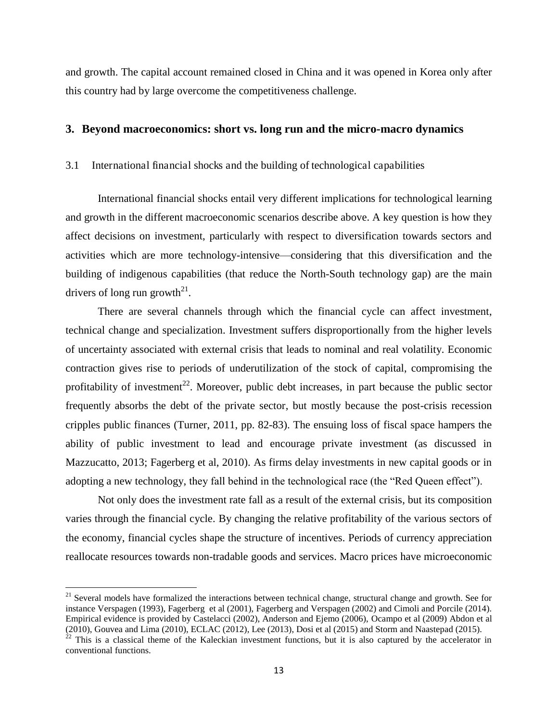and growth. The capital account remained closed in China and it was opened in Korea only after this country had by large overcome the competitiveness challenge.

#### **3. Beyond macroeconomics: short vs. long run and the micro-macro dynamics**

#### 3.1 International financial shocks and the building of technological capabilities

International financial shocks entail very different implications for technological learning and growth in the different macroeconomic scenarios describe above. A key question is how they affect decisions on investment, particularly with respect to diversification towards sectors and activities which are more technology-intensive—considering that this diversification and the building of indigenous capabilities (that reduce the North-South technology gap) are the main drivers of long run growth<sup>21</sup>.

There are several channels through which the financial cycle can affect investment, technical change and specialization. Investment suffers disproportionally from the higher levels of uncertainty associated with external crisis that leads to nominal and real volatility. Economic contraction gives rise to periods of underutilization of the stock of capital, compromising the profitability of investment<sup>22</sup>. Moreover, public debt increases, in part because the public sector frequently absorbs the debt of the private sector, but mostly because the post-crisis recession cripples public finances (Turner, 2011, pp. 82-83). The ensuing loss of fiscal space hampers the ability of public investment to lead and encourage private investment (as discussed in Mazzucatto, 2013; Fagerberg et al, 2010). As firms delay investments in new capital goods or in adopting a new technology, they fall behind in the technological race (the "Red Queen effect").

Not only does the investment rate fall as a result of the external crisis, but its composition varies through the financial cycle. By changing the relative profitability of the various sectors of the economy, financial cycles shape the structure of incentives. Periods of currency appreciation reallocate resources towards non-tradable goods and services. Macro prices have microeconomic

 $\overline{\phantom{0}}$ 

 $21$  Several models have formalized the interactions between technical change, structural change and growth. See for instance Verspagen (1993), Fagerberg et al (2001), Fagerberg and Verspagen (2002) and Cimoli and Porcile (2014). Empirical evidence is provided by Castelacci (2002), Anderson and Ejemo (2006), Ocampo et al (2009) Abdon et al (2010), Gouvea and Lima (2010), ECLAC (2012), Lee (2013), Dosi et al (2015) and Storm and Naastepad (2015).

 $22$  This is a classical theme of the Kaleckian investment functions, but it is also captured by the accelerator in conventional functions.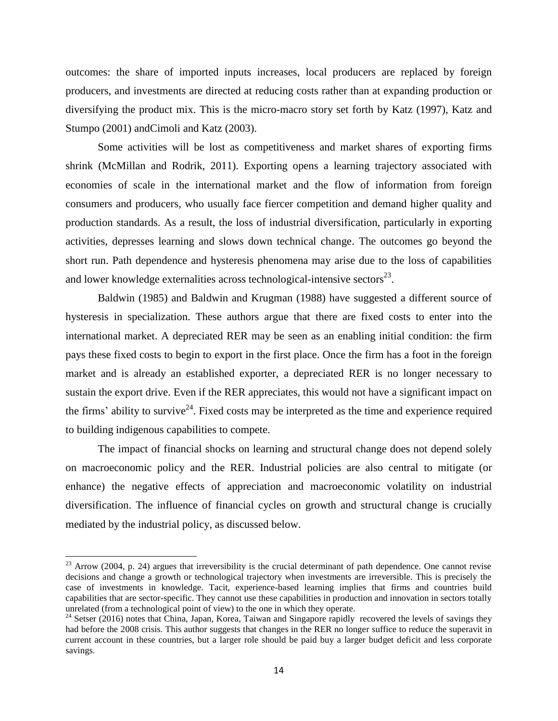outcomes: the share of imported inputs increases, local producers are replaced by foreign producers, and investments are directed at reducing costs rather than at expanding production or diversifying the product mix. This is the micro-macro story set forth by Katz (1997), Katz and Stumpo (2001) andCimoli and Katz (2003).

Some activities will be lost as competitiveness and market shares of exporting firms shrink (McMillan and Rodrik, 2011). Exporting opens a learning trajectory associated with economies of scale in the international market and the flow of information from foreign consumers and producers, who usually face fiercer competition and demand higher quality and production standards. As a result, the loss of industrial diversification, particularly in exporting activities, depresses learning and slows down technical change. The outcomes go beyond the short run. Path dependence and hysteresis phenomena may arise due to the loss of capabilities and lower knowledge externalities across technological-intensive sectors $^{23}$ .

Baldwin (1985) and Baldwin and Krugman (1988) have suggested a different source of hysteresis in specialization. These authors argue that there are fixed costs to enter into the international market. A depreciated RER may be seen as an enabling initial condition: the firm pays these fixed costs to begin to export in the first place. Once the firm has a foot in the foreign market and is already an established exporter, a depreciated RER is no longer necessary to sustain the export drive. Even if the RER appreciates, this would not have a significant impact on the firms' ability to survive<sup>24</sup>. Fixed costs may be interpreted as the time and experience required to building indigenous capabilities to compete.

The impact of financial shocks on learning and structural change does not depend solely on macroeconomic policy and the RER. Industrial policies are also central to mitigate (or enhance) the negative effects of appreciation and macroeconomic volatility on industrial diversification. The influence of financial cycles on growth and structural change is crucially mediated by the industrial policy, as discussed below.

 $23$  Arrow (2004, p. 24) argues that irreversibility is the crucial determinant of path dependence. One cannot revise decisions and change a growth or technological trajectory when investments are irreversible. This is precisely the case of investments in knowledge. Tacit, experience-based learning implies that firms and countries build capabilities that are sector-specific. They cannot use these capabilities in production and innovation in sectors totally unrelated (from a technological point of view) to the one in which they operate.

<sup>&</sup>lt;sup>24</sup> Setser (2016) notes that China, Japan, Korea, Taiwan and Singapore rapidly recovered the levels of savings they had before the 2008 crisis. This author suggests that changes in the RER no longer suffice to reduce the superavit in current account in these countries, but a larger role should be paid buy a larger budget deficit and less corporate savings.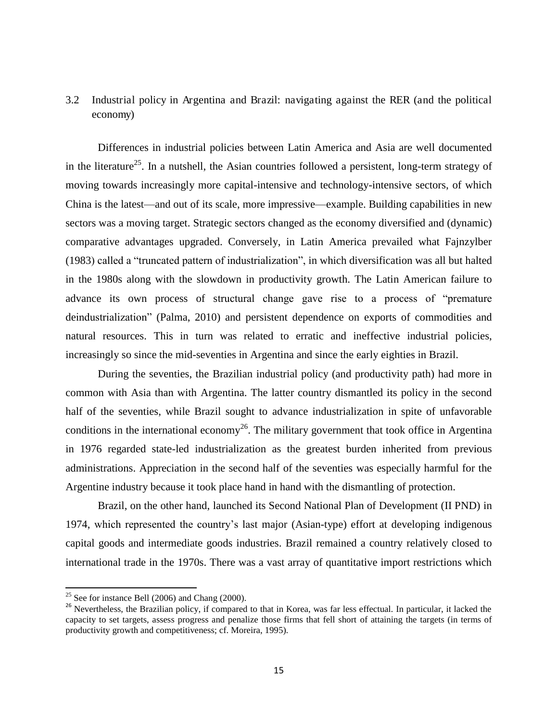# 3.2 Industrial policy in Argentina and Brazil: navigating against the RER (and the political economy)

Differences in industrial policies between Latin America and Asia are well documented in the literature<sup>25</sup>. In a nutshell, the Asian countries followed a persistent, long-term strategy of moving towards increasingly more capital-intensive and technology-intensive sectors, of which China is the latest—and out of its scale, more impressive—example. Building capabilities in new sectors was a moving target. Strategic sectors changed as the economy diversified and (dynamic) comparative advantages upgraded. Conversely, in Latin America prevailed what Fajnzylber (1983) called a "truncated pattern of industrialization", in which diversification was all but halted in the 1980s along with the slowdown in productivity growth. The Latin American failure to advance its own process of structural change gave rise to a process of "premature" deindustrialization" (Palma, 2010) and persistent dependence on exports of commodities and natural resources. This in turn was related to erratic and ineffective industrial policies, increasingly so since the mid-seventies in Argentina and since the early eighties in Brazil.

During the seventies, the Brazilian industrial policy (and productivity path) had more in common with Asia than with Argentina. The latter country dismantled its policy in the second half of the seventies, while Brazil sought to advance industrialization in spite of unfavorable conditions in the international economy<sup>26</sup>. The military government that took office in Argentina in 1976 regarded state-led industrialization as the greatest burden inherited from previous administrations. Appreciation in the second half of the seventies was especially harmful for the Argentine industry because it took place hand in hand with the dismantling of protection.

Brazil, on the other hand, launched its Second National Plan of Development (II PND) in 1974, which represented the country's last major (Asian-type) effort at developing indigenous capital goods and intermediate goods industries. Brazil remained a country relatively closed to international trade in the 1970s. There was a vast array of quantitative import restrictions which

 $25$  See for instance Bell (2006) and Chang (2000).

<sup>&</sup>lt;sup>26</sup> Nevertheless, the Brazilian policy, if compared to that in Korea, was far less effectual. In particular, it lacked the capacity to set targets, assess progress and penalize those firms that fell short of attaining the targets (in terms of productivity growth and competitiveness; cf. Moreira, 1995).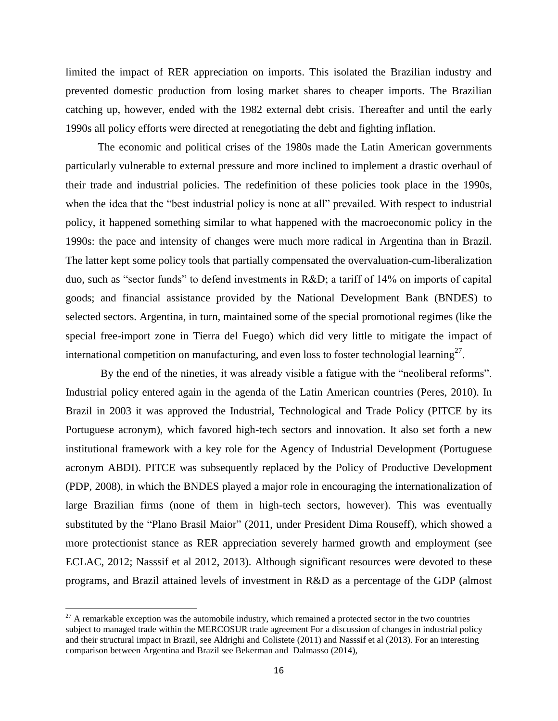limited the impact of RER appreciation on imports. This isolated the Brazilian industry and prevented domestic production from losing market shares to cheaper imports. The Brazilian catching up, however, ended with the 1982 external debt crisis. Thereafter and until the early 1990s all policy efforts were directed at renegotiating the debt and fighting inflation.

The economic and political crises of the 1980s made the Latin American governments particularly vulnerable to external pressure and more inclined to implement a drastic overhaul of their trade and industrial policies. The redefinition of these policies took place in the 1990s, when the idea that the "best industrial policy is none at all" prevailed. With respect to industrial policy, it happened something similar to what happened with the macroeconomic policy in the 1990s: the pace and intensity of changes were much more radical in Argentina than in Brazil. The latter kept some policy tools that partially compensated the overvaluation-cum-liberalization duo, such as "sector funds" to defend investments in  $R&D$ ; a tariff of 14% on imports of capital goods; and financial assistance provided by the National Development Bank (BNDES) to selected sectors. Argentina, in turn, maintained some of the special promotional regimes (like the special free-import zone in Tierra del Fuego) which did very little to mitigate the impact of international competition on manufacturing, and even loss to foster technologial learning<sup>27</sup>.

By the end of the nineties, it was already visible a fatigue with the "neoliberal reforms". Industrial policy entered again in the agenda of the Latin American countries (Peres, 2010). In Brazil in 2003 it was approved the Industrial, Technological and Trade Policy (PITCE by its Portuguese acronym), which favored high-tech sectors and innovation. It also set forth a new institutional framework with a key role for the Agency of Industrial Development (Portuguese acronym ABDI). PITCE was subsequently replaced by the Policy of Productive Development (PDP, 2008), in which the BNDES played a major role in encouraging the internationalization of large Brazilian firms (none of them in high-tech sectors, however). This was eventually substituted by the "Plano Brasil Maior" (2011, under President Dima Rouseff), which showed a more protectionist stance as RER appreciation severely harmed growth and employment (see ECLAC, 2012; Nasssif et al 2012, 2013). Although significant resources were devoted to these programs, and Brazil attained levels of investment in R&D as a percentage of the GDP (almost

 $27$  A remarkable exception was the automobile industry, which remained a protected sector in the two countries subject to managed trade within the MERCOSUR trade agreement For a discussion of changes in industrial policy and their structural impact in Brazil, see Aldrighi and Colistete (2011) and Nasssif et al (2013). For an interesting comparison between Argentina and Brazil see Bekerman and Dalmasso (2014),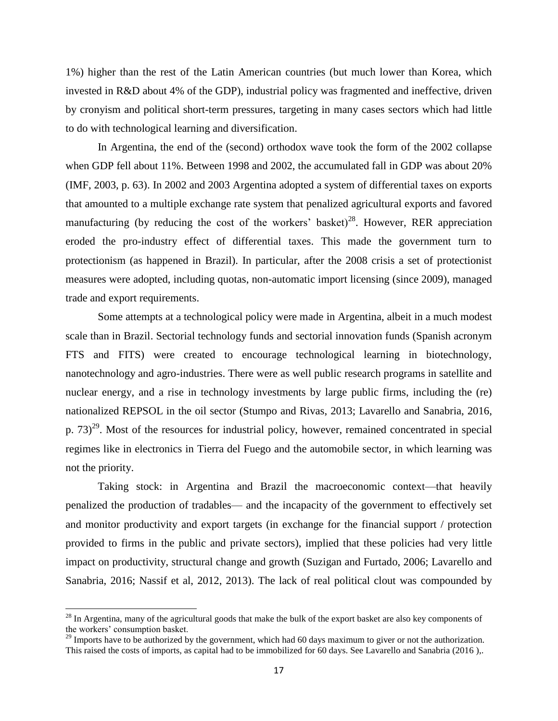1%) higher than the rest of the Latin American countries (but much lower than Korea, which invested in R&D about 4% of the GDP), industrial policy was fragmented and ineffective, driven by cronyism and political short-term pressures, targeting in many cases sectors which had little to do with technological learning and diversification.

In Argentina, the end of the (second) orthodox wave took the form of the 2002 collapse when GDP fell about 11%. Between 1998 and 2002, the accumulated fall in GDP was about 20% (IMF, 2003, p. 63). In 2002 and 2003 Argentina adopted a system of differential taxes on exports that amounted to a multiple exchange rate system that penalized agricultural exports and favored manufacturing (by reducing the cost of the workers' basket)<sup>28</sup>. However, RER appreciation eroded the pro-industry effect of differential taxes. This made the government turn to protectionism (as happened in Brazil). In particular, after the 2008 crisis a set of protectionist measures were adopted, including quotas, non-automatic import licensing (since 2009), managed trade and export requirements.

Some attempts at a technological policy were made in Argentina, albeit in a much modest scale than in Brazil. Sectorial technology funds and sectorial innovation funds (Spanish acronym FTS and FITS) were created to encourage technological learning in biotechnology, nanotechnology and agro-industries. There were as well public research programs in satellite and nuclear energy, and a rise in technology investments by large public firms, including the (re) nationalized REPSOL in the oil sector (Stumpo and Rivas, 2013; Lavarello and Sanabria, 2016, p.  $(73)^{29}$ . Most of the resources for industrial policy, however, remained concentrated in special regimes like in electronics in Tierra del Fuego and the automobile sector, in which learning was not the priority.

Taking stock: in Argentina and Brazil the macroeconomic context—that heavily penalized the production of tradables— and the incapacity of the government to effectively set and monitor productivity and export targets (in exchange for the financial support / protection provided to firms in the public and private sectors), implied that these policies had very little impact on productivity, structural change and growth (Suzigan and Furtado, 2006; Lavarello and Sanabria, 2016; Nassif et al, 2012, 2013). The lack of real political clout was compounded by

 $^{28}$  In Argentina, many of the agricultural goods that make the bulk of the export basket are also key components of the workers' consumption basket.

 $29$  Imports have to be authorized by the government, which had 60 days maximum to giver or not the authorization. This raised the costs of imports, as capital had to be immobilized for 60 days. See Lavarello and Sanabria (2016 ),.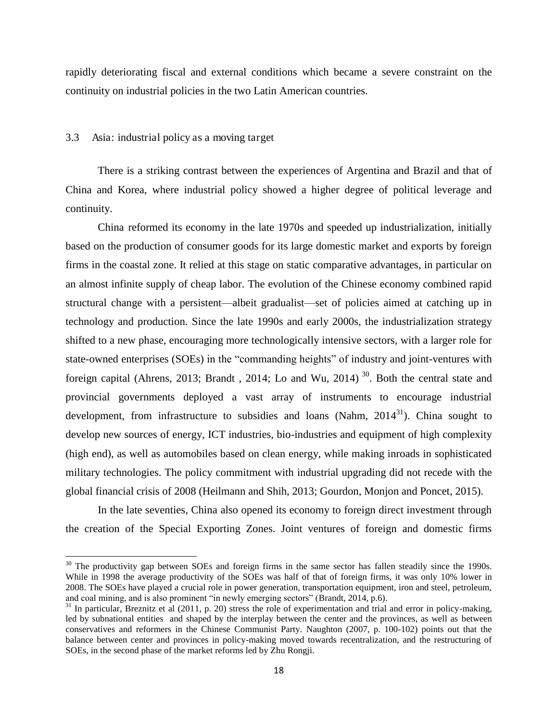rapidly deteriorating fiscal and external conditions which became a severe constraint on the continuity on industrial policies in the two Latin American countries.

#### 3.3 Asia: industrial policy as a moving target

l

There is a striking contrast between the experiences of Argentina and Brazil and that of China and Korea, where industrial policy showed a higher degree of political leverage and continuity.

China reformed its economy in the late 1970s and speeded up industrialization, initially based on the production of consumer goods for its large domestic market and exports by foreign firms in the coastal zone. It relied at this stage on static comparative advantages, in particular on an almost infinite supply of cheap labor. The evolution of the Chinese economy combined rapid structural change with a persistent—albeit gradualist—set of policies aimed at catching up in technology and production. Since the late 1990s and early 2000s, the industrialization strategy shifted to a new phase, encouraging more technologically intensive sectors, with a larger role for state-owned enterprises (SOEs) in the "commanding heights" of industry and joint-ventures with foreign capital (Ahrens, 2013; Brandt, 2014; Lo and Wu, 2014)<sup>30</sup>. Both the central state and provincial governments deployed a vast array of instruments to encourage industrial development, from infrastructure to subsidies and loans (Nahm,  $2014<sup>31</sup>$ ). China sought to develop new sources of energy, ICT industries, bio-industries and equipment of high complexity (high end), as well as automobiles based on clean energy, while making inroads in sophisticated military technologies. The policy commitment with industrial upgrading did not recede with the global financial crisis of 2008 (Heilmann and Shih, 2013; Gourdon, Monjon and Poncet, 2015).

In the late seventies, China also opened its economy to foreign direct investment through the creation of the Special Exporting Zones. Joint ventures of foreign and domestic firms

 $30$  The productivity gap between SOEs and foreign firms in the same sector has fallen steadily since the 1990s. While in 1998 the average productivity of the SOEs was half of that of foreign firms, it was only 10% lower in 2008. The SOEs have played a crucial role in power generation, transportation equipment, iron and steel, petroleum, and coal mining, and is also prominent "in newly emerging sectors" (Brandt, 2014, p.6).

 $31$  In particular, Breznitz et al (2011, p. 20) stress the role of experimentation and trial and error in policy-making, led by subnational entities and shaped by the interplay between the center and the provinces, as well as between conservatives and reformers in the Chinese Communist Party. Naughton (2007, p. 100-102) points out that the balance between center and provinces in policy-making moved towards recentralization, and the restructuring of SOEs, in the second phase of the market reforms led by Zhu Rongji.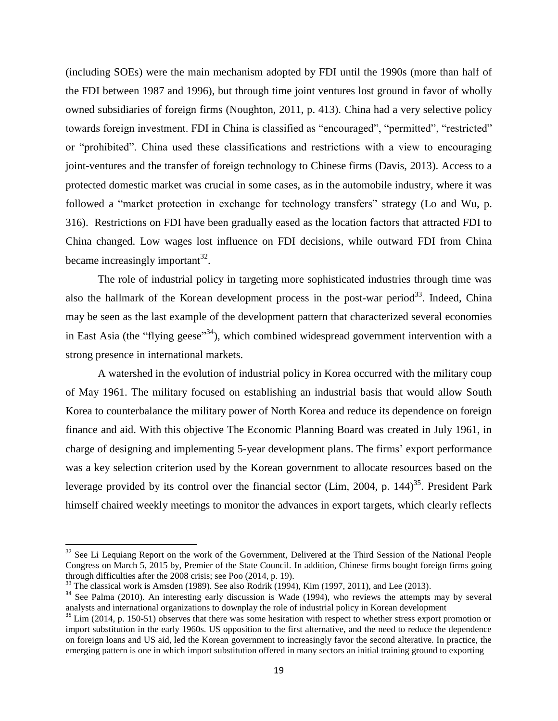(including SOEs) were the main mechanism adopted by FDI until the 1990s (more than half of the FDI between 1987 and 1996), but through time joint ventures lost ground in favor of wholly owned subsidiaries of foreign firms (Noughton, 2011, p. 413). China had a very selective policy towards foreign investment. FDI in China is classified as "encouraged", "permitted", "restricted" or "prohibited". China used these classifications and restrictions with a view to encouraging joint-ventures and the transfer of foreign technology to Chinese firms (Davis, 2013). Access to a protected domestic market was crucial in some cases, as in the automobile industry, where it was followed a "market protection in exchange for technology transfers" strategy (Lo and Wu, p. 316). Restrictions on FDI have been gradually eased as the location factors that attracted FDI to China changed. Low wages lost influence on FDI decisions, while outward FDI from China became increasingly important $^{32}$ .

The role of industrial policy in targeting more sophisticated industries through time was also the hallmark of the Korean development process in the post-war period<sup>33</sup>. Indeed, China may be seen as the last example of the development pattern that characterized several economies in East Asia (the "flying geese"<sup>34</sup>), which combined widespread government intervention with a strong presence in international markets.

A watershed in the evolution of industrial policy in Korea occurred with the military coup of May 1961. The military focused on establishing an industrial basis that would allow South Korea to counterbalance the military power of North Korea and reduce its dependence on foreign finance and aid. With this objective The Economic Planning Board was created in July 1961, in charge of designing and implementing 5-year development plans. The firms' export performance was a key selection criterion used by the Korean government to allocate resources based on the leverage provided by its control over the financial sector (Lim, 2004, p. 144)<sup>35</sup>. President Park himself chaired weekly meetings to monitor the advances in export targets, which clearly reflects

 $\overline{a}$ 

<sup>&</sup>lt;sup>32</sup> See Li Lequiang Report on the work of the Government, Delivered at the Third Session of the National People Congress on March 5, 2015 by, Premier of the State Council. In addition, Chinese firms bought foreign firms going through difficulties after the 2008 crisis; see Poo (2014, p. 19).

 $33$  The classical work is Amsden (1989). See also Rodrik (1994), Kim (1997, 2011), and Lee (2013).

<sup>&</sup>lt;sup>34</sup> See Palma (2010). An interesting early discussion is Wade (1994), who reviews the attempts may by several analysts and international organizations to downplay the role of industrial policy in Korean development

 $\frac{35 \text{ Lim}}{2014}$ , p. 150-51) observes that there was some hesitation with respect to whether stress export promotion or import substitution in the early 1960s. US opposition to the first alternative, and the need to reduce the dependence on foreign loans and US aid, led the Korean government to increasingly favor the second alterative. In practice, the emerging pattern is one in which import substitution offered in many sectors an initial training ground to exporting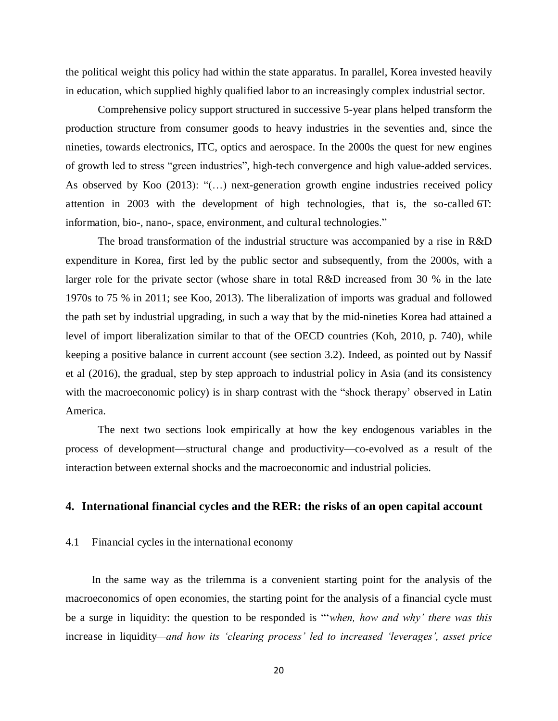the political weight this policy had within the state apparatus. In parallel, Korea invested heavily in education, which supplied highly qualified labor to an increasingly complex industrial sector.

Comprehensive policy support structured in successive 5-year plans helped transform the production structure from consumer goods to heavy industries in the seventies and, since the nineties, towards electronics, ITC, optics and aerospace. In the 2000s the quest for new engines of growth led to stress "green industries", high-tech convergence and high value-added services. As observed by Koo  $(2013)$ : " $(...)$  next-generation growth engine industries received policy attention in 2003 with the development of high technologies, that is, the so-called 6T: information, bio-, nano-, space, environment, and cultural technologies."

The broad transformation of the industrial structure was accompanied by a rise in R&D expenditure in Korea, first led by the public sector and subsequently, from the 2000s, with a larger role for the private sector (whose share in total R&D increased from 30 % in the late 1970s to 75 % in 2011; see Koo, 2013). The liberalization of imports was gradual and followed the path set by industrial upgrading, in such a way that by the mid-nineties Korea had attained a level of import liberalization similar to that of the OECD countries (Koh, 2010, p. 740), while keeping a positive balance in current account (see section 3.2). Indeed, as pointed out by Nassif et al (2016), the gradual, step by step approach to industrial policy in Asia (and its consistency with the macroeconomic policy) is in sharp contrast with the "shock therapy' observed in Latin America.

The next two sections look empirically at how the key endogenous variables in the process of development—structural change and productivity—co-evolved as a result of the interaction between external shocks and the macroeconomic and industrial policies.

#### **4. International financial cycles and the RER: the risks of an open capital account**

#### 4.1 Financial cycles in the international economy

In the same way as the trilemma is a convenient starting point for the analysis of the macroeconomics of open economies, the starting point for the analysis of a financial cycle must be a surge in liquidity: the question to be responded is "*when, how and why' there was this* increase in liquidity*—and how its "clearing process" led to increased "leverages", asset price*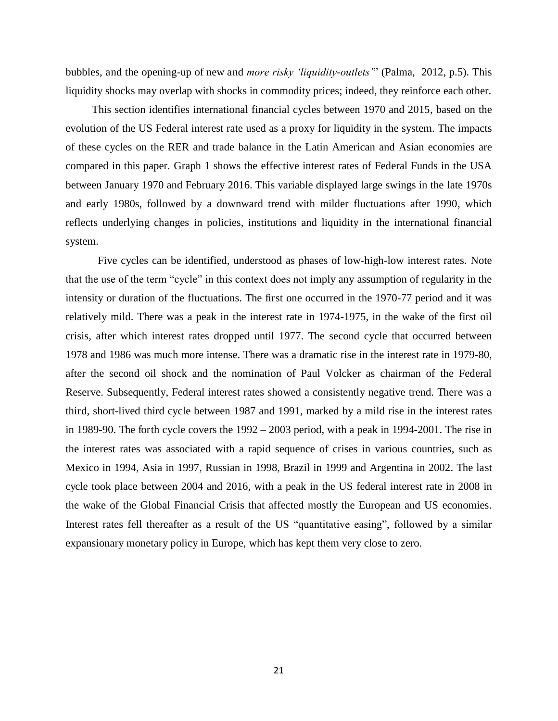bubbles, and the opening-up of new and *more risky "liquidity*-*outlets"*‖ (Palma, 2012, p.5). This liquidity shocks may overlap with shocks in commodity prices; indeed, they reinforce each other.

This section identifies international financial cycles between 1970 and 2015, based on the evolution of the US Federal interest rate used as a proxy for liquidity in the system. The impacts of these cycles on the RER and trade balance in the Latin American and Asian economies are compared in this paper. Graph 1 shows the effective interest rates of Federal Funds in the USA between January 1970 and February 2016. This variable displayed large swings in the late 1970s and early 1980s, followed by a downward trend with milder fluctuations after 1990, which reflects underlying changes in policies, institutions and liquidity in the international financial system.

Five cycles can be identified, understood as phases of low-high-low interest rates. Note that the use of the term "cycle" in this context does not imply any assumption of regularity in the intensity or duration of the fluctuations. The first one occurred in the 1970-77 period and it was relatively mild. There was a peak in the interest rate in 1974-1975, in the wake of the first oil crisis, after which interest rates dropped until 1977. The second cycle that occurred between 1978 and 1986 was much more intense. There was a dramatic rise in the interest rate in 1979-80, after the second oil shock and the nomination of Paul Volcker as chairman of the Federal Reserve. Subsequently, Federal interest rates showed a consistently negative trend. There was a third, short-lived third cycle between 1987 and 1991, marked by a mild rise in the interest rates in 1989-90. The forth cycle covers the 1992 – 2003 period, with a peak in 1994-2001. The rise in the interest rates was associated with a rapid sequence of crises in various countries, such as Mexico in 1994, Asia in 1997, Russian in 1998, Brazil in 1999 and Argentina in 2002. The last cycle took place between 2004 and 2016, with a peak in the US federal interest rate in 2008 in the wake of the Global Financial Crisis that affected mostly the European and US economies. Interest rates fell thereafter as a result of the US "quantitative easing", followed by a similar expansionary monetary policy in Europe, which has kept them very close to zero.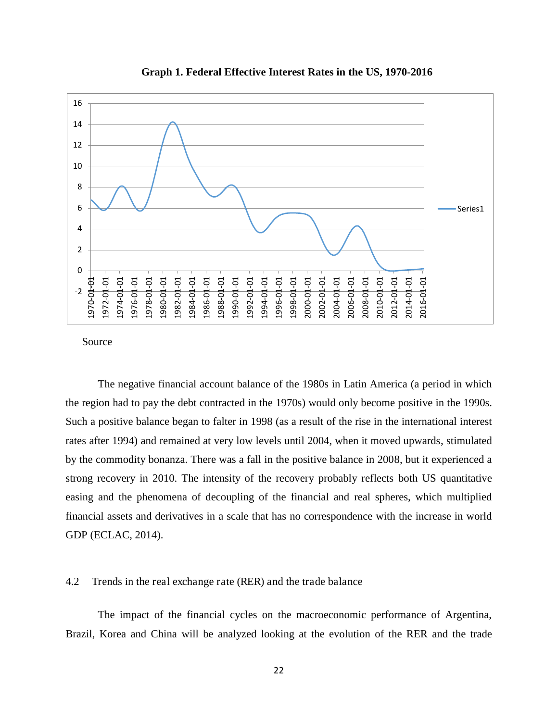

**Graph 1. Federal Effective Interest Rates in the US, 1970-2016**

Source

The negative financial account balance of the 1980s in Latin America (a period in which the region had to pay the debt contracted in the 1970s) would only become positive in the 1990s. Such a positive balance began to falter in 1998 (as a result of the rise in the international interest rates after 1994) and remained at very low levels until 2004, when it moved upwards, stimulated by the commodity bonanza. There was a fall in the positive balance in 2008, but it experienced a strong recovery in 2010. The intensity of the recovery probably reflects both US quantitative easing and the phenomena of decoupling of the financial and real spheres, which multiplied financial assets and derivatives in a scale that has no correspondence with the increase in world GDP (ECLAC, 2014).

#### 4.2 Trends in the real exchange rate (RER) and the trade balance

The impact of the financial cycles on the macroeconomic performance of Argentina, Brazil, Korea and China will be analyzed looking at the evolution of the RER and the trade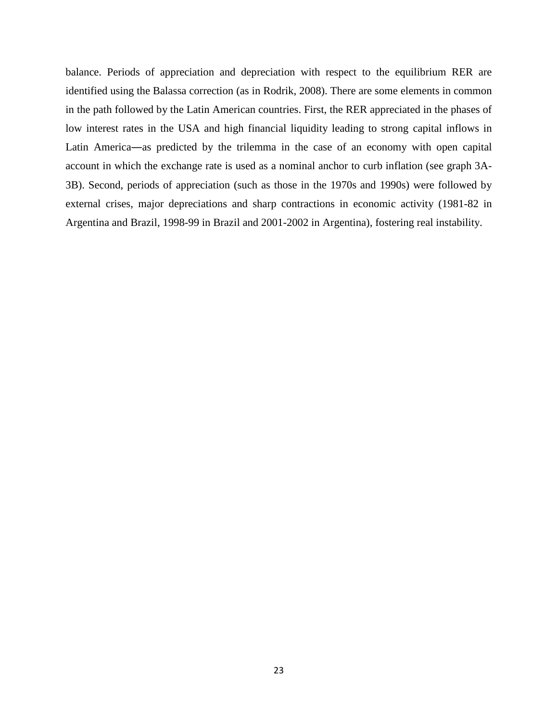balance. Periods of appreciation and depreciation with respect to the equilibrium RER are identified using the Balassa correction (as in Rodrik, 2008). There are some elements in common in the path followed by the Latin American countries. First, the RER appreciated in the phases of low interest rates in the USA and high financial liquidity leading to strong capital inflows in Latin America―as predicted by the trilemma in the case of an economy with open capital account in which the exchange rate is used as a nominal anchor to curb inflation (see graph 3A-3B). Second, periods of appreciation (such as those in the 1970s and 1990s) were followed by external crises, major depreciations and sharp contractions in economic activity (1981-82 in Argentina and Brazil, 1998-99 in Brazil and 2001-2002 in Argentina), fostering real instability.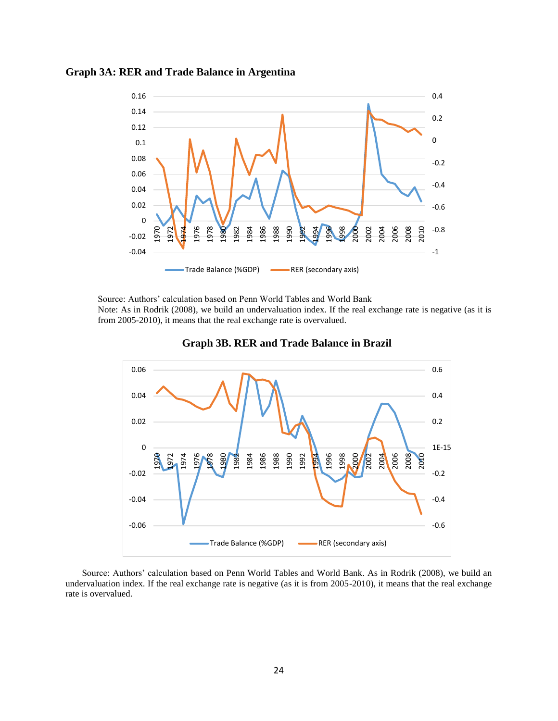



Source: Authors' calculation based on Penn World Tables and World Bank

Note: As in Rodrik (2008), we build an undervaluation index. If the real exchange rate is negative (as it is from 2005-2010), it means that the real exchange rate is overvalued.





Source: Authors' calculation based on Penn World Tables and World Bank. As in Rodrik (2008), we build an undervaluation index. If the real exchange rate is negative (as it is from 2005-2010), it means that the real exchange rate is overvalued.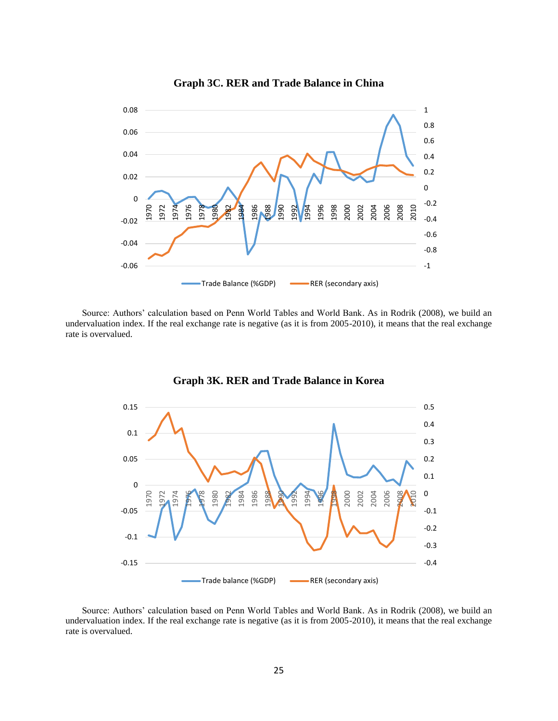

#### **Graph 3C. RER and Trade Balance in China**

Source: Authors' calculation based on Penn World Tables and World Bank. As in Rodrik (2008), we build an undervaluation index. If the real exchange rate is negative (as it is from 2005-2010), it means that the real exchange rate is overvalued.



**Graph 3K. RER and Trade Balance in Korea** 

Source: Authors' calculation based on Penn World Tables and World Bank. As in Rodrik (2008), we build an undervaluation index. If the real exchange rate is negative (as it is from 2005-2010), it means that the real exchange rate is overvalued.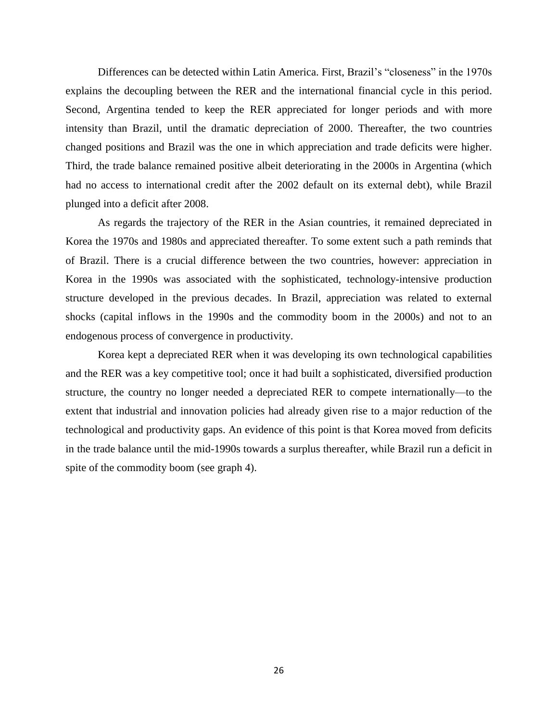Differences can be detected within Latin America. First, Brazil's "closeness" in the 1970s explains the decoupling between the RER and the international financial cycle in this period. Second, Argentina tended to keep the RER appreciated for longer periods and with more intensity than Brazil, until the dramatic depreciation of 2000. Thereafter, the two countries changed positions and Brazil was the one in which appreciation and trade deficits were higher. Third, the trade balance remained positive albeit deteriorating in the 2000s in Argentina (which had no access to international credit after the 2002 default on its external debt), while Brazil plunged into a deficit after 2008.

As regards the trajectory of the RER in the Asian countries, it remained depreciated in Korea the 1970s and 1980s and appreciated thereafter. To some extent such a path reminds that of Brazil. There is a crucial difference between the two countries, however: appreciation in Korea in the 1990s was associated with the sophisticated, technology-intensive production structure developed in the previous decades. In Brazil, appreciation was related to external shocks (capital inflows in the 1990s and the commodity boom in the 2000s) and not to an endogenous process of convergence in productivity.

Korea kept a depreciated RER when it was developing its own technological capabilities and the RER was a key competitive tool; once it had built a sophisticated, diversified production structure, the country no longer needed a depreciated RER to compete internationally—to the extent that industrial and innovation policies had already given rise to a major reduction of the technological and productivity gaps. An evidence of this point is that Korea moved from deficits in the trade balance until the mid-1990s towards a surplus thereafter, while Brazil run a deficit in spite of the commodity boom (see graph 4).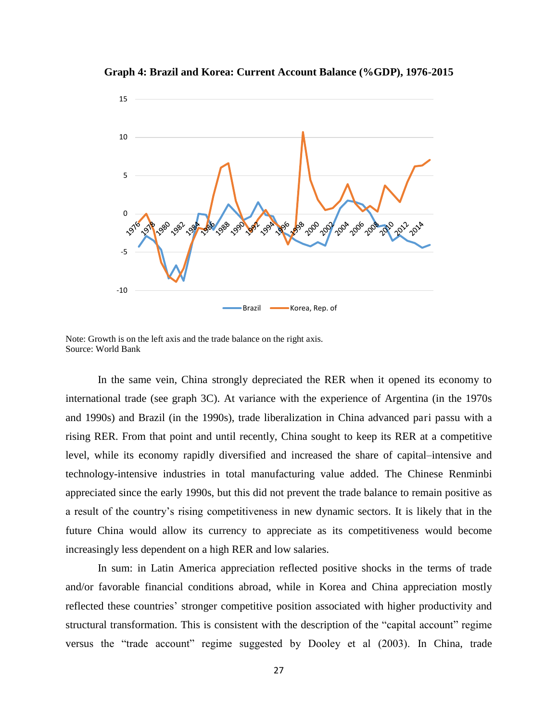

**Graph 4: Brazil and Korea: Current Account Balance (%GDP), 1976-2015** 

Note: Growth is on the left axis and the trade balance on the right axis. Source: World Bank

In the same vein, China strongly depreciated the RER when it opened its economy to international trade (see graph 3C). At variance with the experience of Argentina (in the 1970s and 1990s) and Brazil (in the 1990s), trade liberalization in China advanced pari passu with a rising RER. From that point and until recently, China sought to keep its RER at a competitive level, while its economy rapidly diversified and increased the share of capital–intensive and technology-intensive industries in total manufacturing value added. The Chinese Renminbi appreciated since the early 1990s, but this did not prevent the trade balance to remain positive as a result of the country's rising competitiveness in new dynamic sectors. It is likely that in the future China would allow its currency to appreciate as its competitiveness would become increasingly less dependent on a high RER and low salaries.

In sum: in Latin America appreciation reflected positive shocks in the terms of trade and/or favorable financial conditions abroad, while in Korea and China appreciation mostly reflected these countries' stronger competitive position associated with higher productivity and structural transformation. This is consistent with the description of the "capital account" regime versus the "trade account" regime suggested by Dooley et al (2003). In China, trade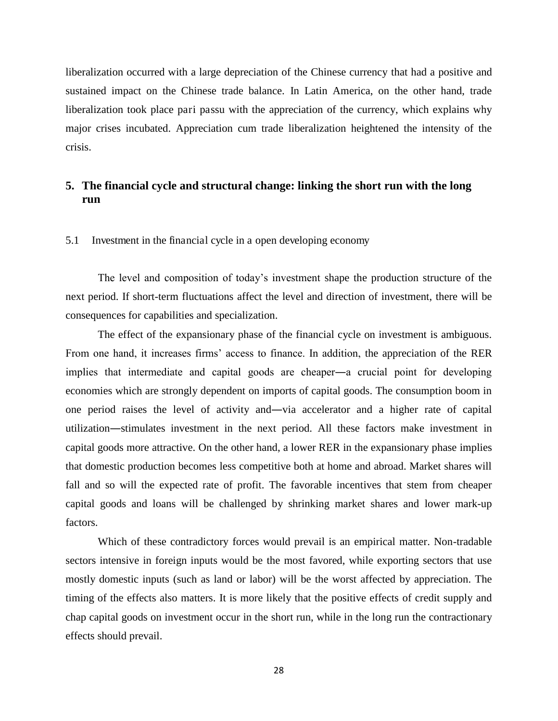liberalization occurred with a large depreciation of the Chinese currency that had a positive and sustained impact on the Chinese trade balance. In Latin America, on the other hand, trade liberalization took place pari passu with the appreciation of the currency, which explains why major crises incubated. Appreciation cum trade liberalization heightened the intensity of the crisis.

## **5. The financial cycle and structural change: linking the short run with the long run**

#### 5.1 Investment in the financial cycle in a open developing economy

The level and composition of today's investment shape the production structure of the next period. If short-term fluctuations affect the level and direction of investment, there will be consequences for capabilities and specialization.

The effect of the expansionary phase of the financial cycle on investment is ambiguous. From one hand, it increases firms' access to finance. In addition, the appreciation of the RER implies that intermediate and capital goods are cheaper―a crucial point for developing economies which are strongly dependent on imports of capital goods. The consumption boom in one period raises the level of activity and―via accelerator and a higher rate of capital utilization―stimulates investment in the next period. All these factors make investment in capital goods more attractive. On the other hand, a lower RER in the expansionary phase implies that domestic production becomes less competitive both at home and abroad. Market shares will fall and so will the expected rate of profit. The favorable incentives that stem from cheaper capital goods and loans will be challenged by shrinking market shares and lower mark-up factors.

Which of these contradictory forces would prevail is an empirical matter. Non-tradable sectors intensive in foreign inputs would be the most favored, while exporting sectors that use mostly domestic inputs (such as land or labor) will be the worst affected by appreciation. The timing of the effects also matters. It is more likely that the positive effects of credit supply and chap capital goods on investment occur in the short run, while in the long run the contractionary effects should prevail.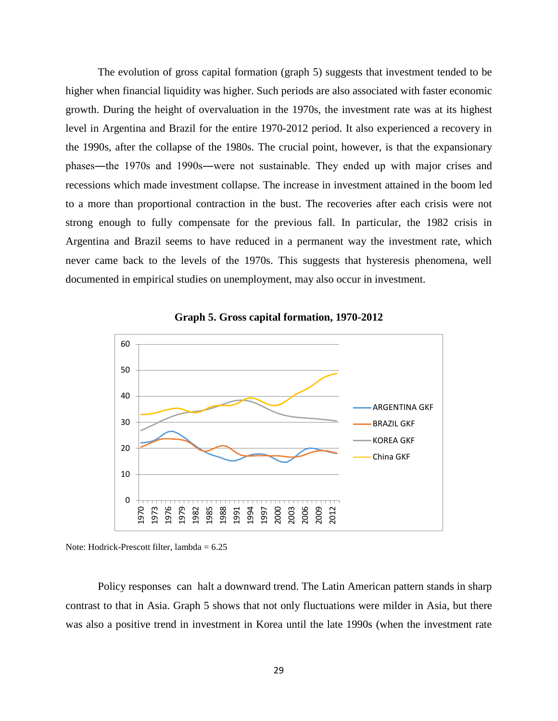The evolution of gross capital formation (graph 5) suggests that investment tended to be higher when financial liquidity was higher. Such periods are also associated with faster economic growth. During the height of overvaluation in the 1970s, the investment rate was at its highest level in Argentina and Brazil for the entire 1970-2012 period. It also experienced a recovery in the 1990s, after the collapse of the 1980s. The crucial point, however, is that the expansionary phases―the 1970s and 1990s―were not sustainable. They ended up with major crises and recessions which made investment collapse. The increase in investment attained in the boom led to a more than proportional contraction in the bust. The recoveries after each crisis were not strong enough to fully compensate for the previous fall. In particular, the 1982 crisis in Argentina and Brazil seems to have reduced in a permanent way the investment rate, which never came back to the levels of the 1970s. This suggests that hysteresis phenomena, well documented in empirical studies on unemployment, may also occur in investment.



**Graph 5. Gross capital formation, 1970-2012** 

Policy responses can halt a downward trend. The Latin American pattern stands in sharp contrast to that in Asia. Graph 5 shows that not only fluctuations were milder in Asia, but there was also a positive trend in investment in Korea until the late 1990s (when the investment rate

Note: Hodrick-Prescott filter, lambda  $= 6.25$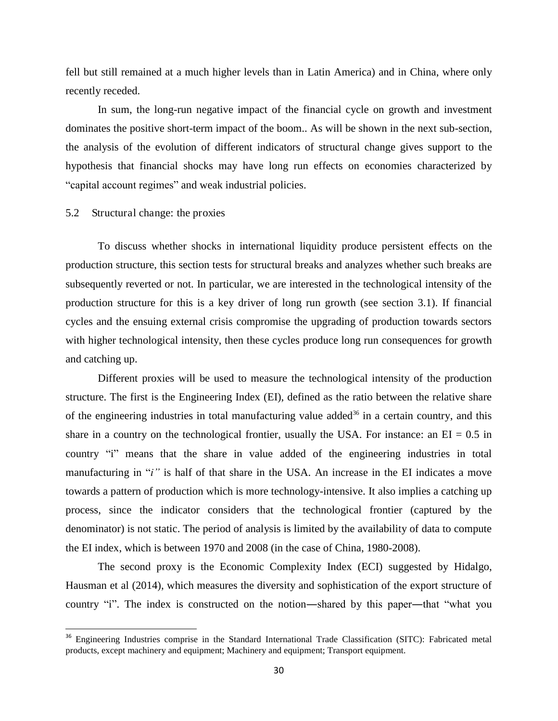fell but still remained at a much higher levels than in Latin America) and in China, where only recently receded.

In sum, the long-run negative impact of the financial cycle on growth and investment dominates the positive short-term impact of the boom.. As will be shown in the next sub-section, the analysis of the evolution of different indicators of structural change gives support to the hypothesis that financial shocks may have long run effects on economies characterized by "capital account regimes" and weak industrial policies.

#### 5.2 Structural change: the proxies

 $\overline{\phantom{0}}$ 

To discuss whether shocks in international liquidity produce persistent effects on the production structure, this section tests for structural breaks and analyzes whether such breaks are subsequently reverted or not. In particular, we are interested in the technological intensity of the production structure for this is a key driver of long run growth (see section 3.1). If financial cycles and the ensuing external crisis compromise the upgrading of production towards sectors with higher technological intensity, then these cycles produce long run consequences for growth and catching up.

Different proxies will be used to measure the technological intensity of the production structure. The first is the Engineering Index (EI), defined as the ratio between the relative share of the engineering industries in total manufacturing value added<sup>36</sup> in a certain country, and this share in a country on the technological frontier, usually the USA. For instance: an  $EI = 0.5$  in country "i" means that the share in value added of the engineering industries in total manufacturing in "*i*" is half of that share in the USA. An increase in the EI indicates a move towards a pattern of production which is more technology-intensive. It also implies a catching up process, since the indicator considers that the technological frontier (captured by the denominator) is not static. The period of analysis is limited by the availability of data to compute the EI index, which is between 1970 and 2008 (in the case of China, 1980-2008).

The second proxy is the Economic Complexity Index (ECI) suggested by Hidalgo, Hausman et al (2014), which measures the diversity and sophistication of the export structure of country "i". The index is constructed on the notion—shared by this paper—that "what you

<sup>&</sup>lt;sup>36</sup> Engineering Industries comprise in the Standard International Trade Classification (SITC): Fabricated metal products, except machinery and equipment; Machinery and equipment; Transport equipment.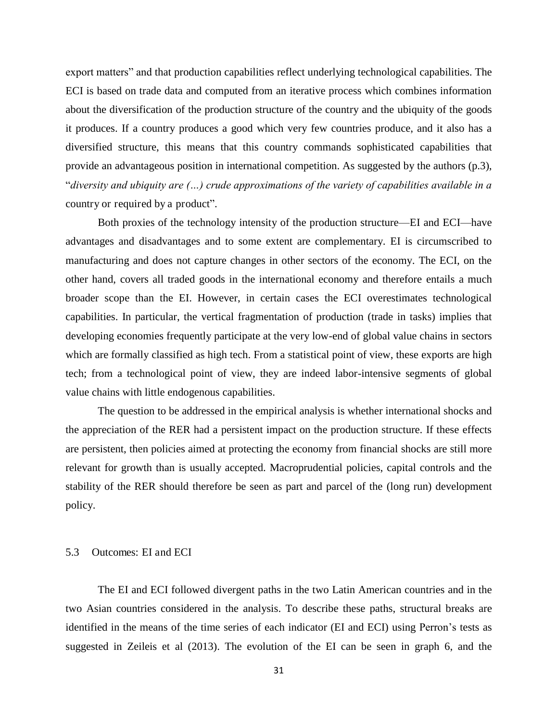export matters" and that production capabilities reflect underlying technological capabilities. The ECI is based on trade data and computed from an iterative process which combines information about the diversification of the production structure of the country and the ubiquity of the goods it produces. If a country produces a good which very few countries produce, and it also has a diversified structure, this means that this country commands sophisticated capabilities that provide an advantageous position in international competition. As suggested by the authors (p.3), ―*diversity and ubiquity are (…) crude approximations of the variety of capabilities available in a*  country or required by a product".

Both proxies of the technology intensity of the production structure—EI and ECI—have advantages and disadvantages and to some extent are complementary. EI is circumscribed to manufacturing and does not capture changes in other sectors of the economy. The ECI, on the other hand, covers all traded goods in the international economy and therefore entails a much broader scope than the EI. However, in certain cases the ECI overestimates technological capabilities. In particular, the vertical fragmentation of production (trade in tasks) implies that developing economies frequently participate at the very low-end of global value chains in sectors which are formally classified as high tech. From a statistical point of view, these exports are high tech; from a technological point of view, they are indeed labor-intensive segments of global value chains with little endogenous capabilities.

The question to be addressed in the empirical analysis is whether international shocks and the appreciation of the RER had a persistent impact on the production structure. If these effects are persistent, then policies aimed at protecting the economy from financial shocks are still more relevant for growth than is usually accepted. Macroprudential policies, capital controls and the stability of the RER should therefore be seen as part and parcel of the (long run) development policy.

#### 5.3 Outcomes: EI and ECI

The EI and ECI followed divergent paths in the two Latin American countries and in the two Asian countries considered in the analysis. To describe these paths, structural breaks are identified in the means of the time series of each indicator (EI and ECI) using Perron's tests as suggested in Zeileis et al (2013). The evolution of the EI can be seen in graph 6, and the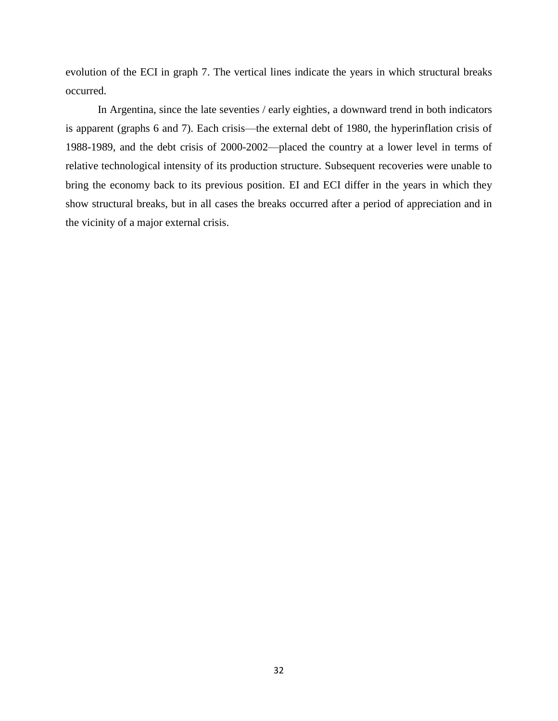evolution of the ECI in graph 7. The vertical lines indicate the years in which structural breaks occurred.

In Argentina, since the late seventies / early eighties, a downward trend in both indicators is apparent (graphs 6 and 7). Each crisis—the external debt of 1980, the hyperinflation crisis of 1988-1989, and the debt crisis of 2000-2002—placed the country at a lower level in terms of relative technological intensity of its production structure. Subsequent recoveries were unable to bring the economy back to its previous position. EI and ECI differ in the years in which they show structural breaks, but in all cases the breaks occurred after a period of appreciation and in the vicinity of a major external crisis.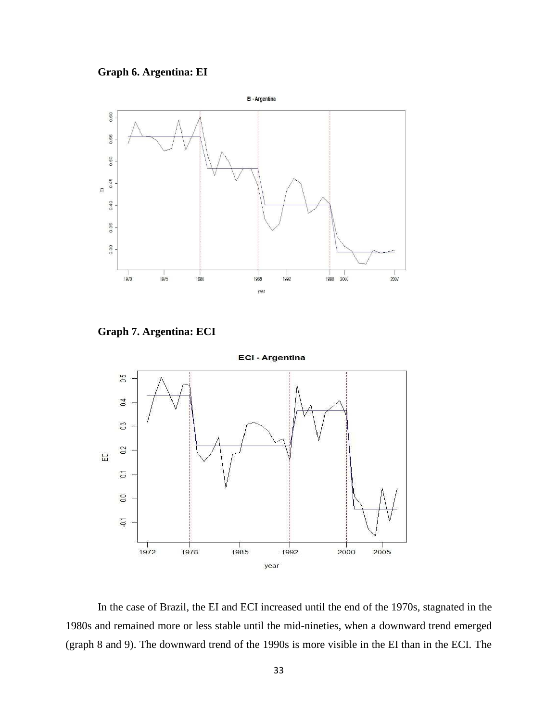



**Graph 7. Argentina: ECI** 



In the case of Brazil, the EI and ECI increased until the end of the 1970s, stagnated in the 1980s and remained more or less stable until the mid-nineties, when a downward trend emerged (graph 8 and 9). The downward trend of the 1990s is more visible in the EI than in the ECI. The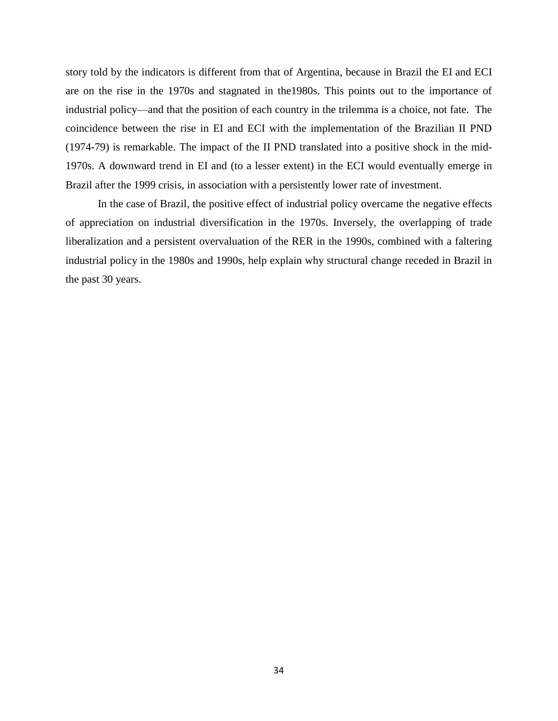story told by the indicators is different from that of Argentina, because in Brazil the EI and ECI are on the rise in the 1970s and stagnated in the1980s. This points out to the importance of industrial policy—and that the position of each country in the trilemma is a choice, not fate. The coincidence between the rise in EI and ECI with the implementation of the Brazilian II PND (1974-79) is remarkable. The impact of the II PND translated into a positive shock in the mid-1970s. A downward trend in EI and (to a lesser extent) in the ECI would eventually emerge in Brazil after the 1999 crisis, in association with a persistently lower rate of investment.

In the case of Brazil, the positive effect of industrial policy overcame the negative effects of appreciation on industrial diversification in the 1970s. Inversely, the overlapping of trade liberalization and a persistent overvaluation of the RER in the 1990s, combined with a faltering industrial policy in the 1980s and 1990s, help explain why structural change receded in Brazil in the past 30 years.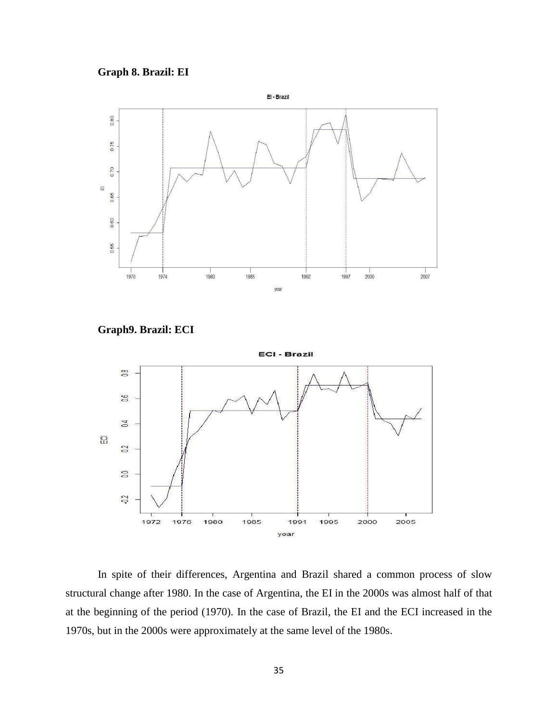



**Graph9. Brazil: ECI** 



In spite of their differences, Argentina and Brazil shared a common process of slow structural change after 1980. In the case of Argentina, the EI in the 2000s was almost half of that at the beginning of the period (1970). In the case of Brazil, the EI and the ECI increased in the 1970s, but in the 2000s were approximately at the same level of the 1980s.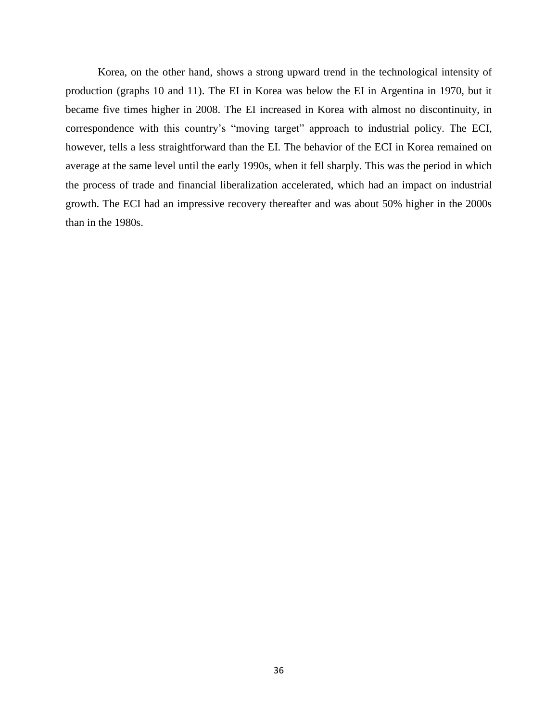Korea, on the other hand, shows a strong upward trend in the technological intensity of production (graphs 10 and 11). The EI in Korea was below the EI in Argentina in 1970, but it became five times higher in 2008. The EI increased in Korea with almost no discontinuity, in correspondence with this country's "moving target" approach to industrial policy. The ECI, however, tells a less straightforward than the EI. The behavior of the ECI in Korea remained on average at the same level until the early 1990s, when it fell sharply. This was the period in which the process of trade and financial liberalization accelerated, which had an impact on industrial growth. The ECI had an impressive recovery thereafter and was about 50% higher in the 2000s than in the 1980s.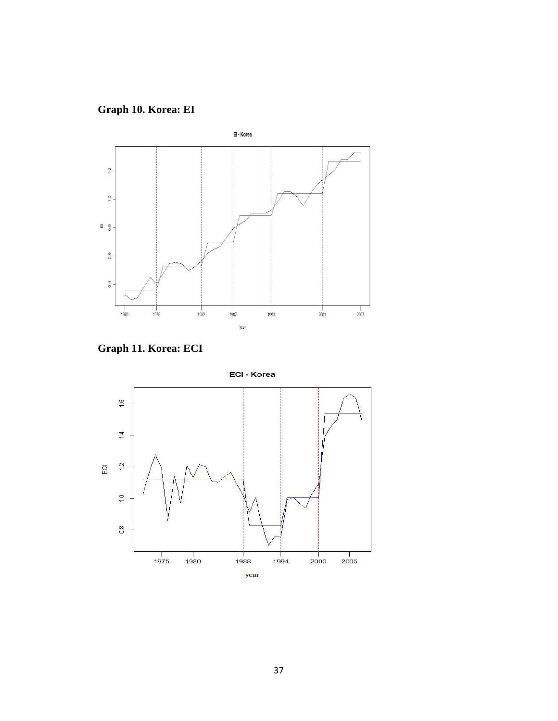





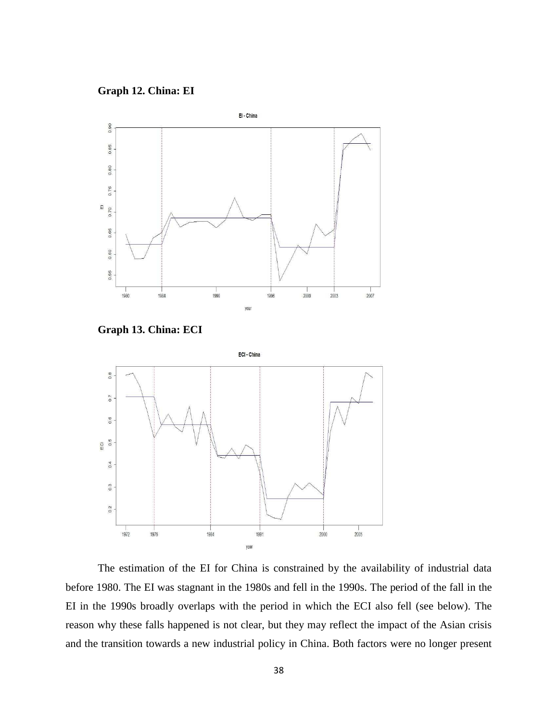**Graph 12. China: EI** 



**Graph 13. China: ECI** 



The estimation of the EI for China is constrained by the availability of industrial data before 1980. The EI was stagnant in the 1980s and fell in the 1990s. The period of the fall in the EI in the 1990s broadly overlaps with the period in which the ECI also fell (see below). The reason why these falls happened is not clear, but they may reflect the impact of the Asian crisis and the transition towards a new industrial policy in China. Both factors were no longer present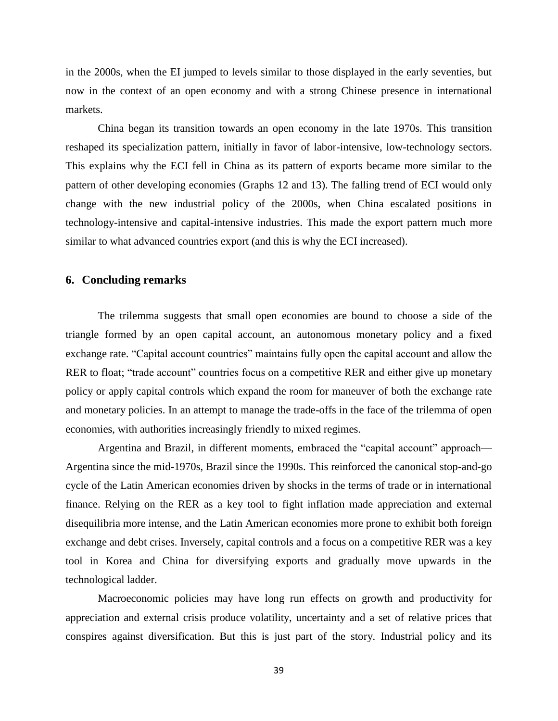in the 2000s, when the EI jumped to levels similar to those displayed in the early seventies, but now in the context of an open economy and with a strong Chinese presence in international markets.

China began its transition towards an open economy in the late 1970s. This transition reshaped its specialization pattern, initially in favor of labor-intensive, low-technology sectors. This explains why the ECI fell in China as its pattern of exports became more similar to the pattern of other developing economies (Graphs 12 and 13). The falling trend of ECI would only change with the new industrial policy of the 2000s, when China escalated positions in technology-intensive and capital-intensive industries. This made the export pattern much more similar to what advanced countries export (and this is why the ECI increased).

#### **6. Concluding remarks**

The trilemma suggests that small open economies are bound to choose a side of the triangle formed by an open capital account, an autonomous monetary policy and a fixed exchange rate. "Capital account countries" maintains fully open the capital account and allow the RER to float; "trade account" countries focus on a competitive RER and either give up monetary policy or apply capital controls which expand the room for maneuver of both the exchange rate and monetary policies. In an attempt to manage the trade-offs in the face of the trilemma of open economies, with authorities increasingly friendly to mixed regimes.

Argentina and Brazil, in different moments, embraced the "capital account" approach— Argentina since the mid-1970s, Brazil since the 1990s. This reinforced the canonical stop-and-go cycle of the Latin American economies driven by shocks in the terms of trade or in international finance. Relying on the RER as a key tool to fight inflation made appreciation and external disequilibria more intense, and the Latin American economies more prone to exhibit both foreign exchange and debt crises. Inversely, capital controls and a focus on a competitive RER was a key tool in Korea and China for diversifying exports and gradually move upwards in the technological ladder.

Macroeconomic policies may have long run effects on growth and productivity for appreciation and external crisis produce volatility, uncertainty and a set of relative prices that conspires against diversification. But this is just part of the story. Industrial policy and its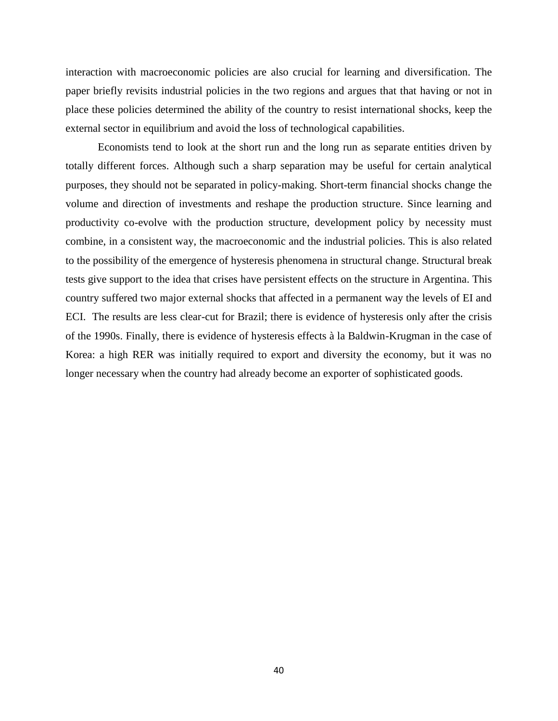interaction with macroeconomic policies are also crucial for learning and diversification. The paper briefly revisits industrial policies in the two regions and argues that that having or not in place these policies determined the ability of the country to resist international shocks, keep the external sector in equilibrium and avoid the loss of technological capabilities.

Economists tend to look at the short run and the long run as separate entities driven by totally different forces. Although such a sharp separation may be useful for certain analytical purposes, they should not be separated in policy-making. Short-term financial shocks change the volume and direction of investments and reshape the production structure. Since learning and productivity co-evolve with the production structure, development policy by necessity must combine, in a consistent way, the macroeconomic and the industrial policies. This is also related to the possibility of the emergence of hysteresis phenomena in structural change. Structural break tests give support to the idea that crises have persistent effects on the structure in Argentina. This country suffered two major external shocks that affected in a permanent way the levels of EI and ECI. The results are less clear-cut for Brazil; there is evidence of hysteresis only after the crisis of the 1990s. Finally, there is evidence of hysteresis effects à la Baldwin-Krugman in the case of Korea: a high RER was initially required to export and diversity the economy, but it was no longer necessary when the country had already become an exporter of sophisticated goods.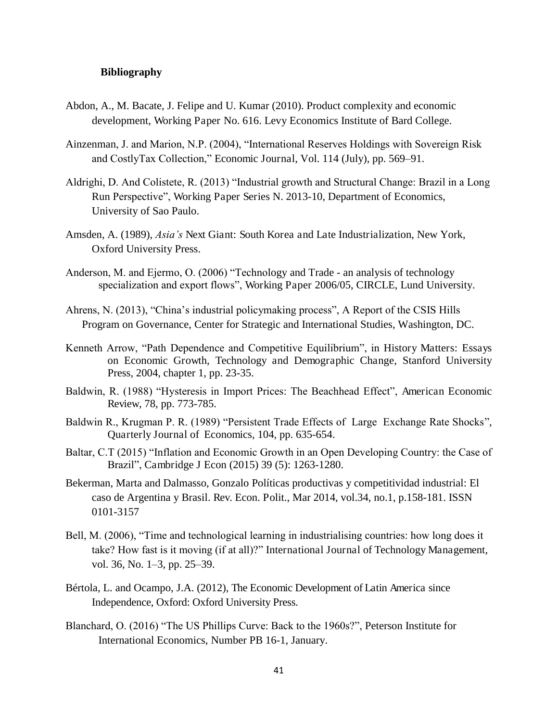#### **Bibliography**

- Abdon, A., M. Bacate, J. Felipe and U. Kumar (2010). Product complexity and economic development, Working Paper No. 616. Levy Economics Institute of Bard College.
- Ainzenman, J. and Marion, N.P. (2004), "International Reserves Holdings with Sovereign Risk and CostlyTax Collection," Economic Journal, Vol. 114 (July), pp. 569–91.
- Aldrighi, D. And Colistete, R. (2013) "Industrial growth and Structural Change: Brazil in a Long Run Perspective", Working Paper Series N. 2013-10, Department of Economics, University of Sao Paulo.
- Amsden, A. (1989), *Asia"s* Next Giant: South Korea and Late Industrialization, New York, Oxford University Press.
- Anderson, M. and Ejermo, O. (2006) "Technology and Trade an analysis of technology specialization and export flows", Working Paper 2006/05, CIRCLE, Lund University.
- Ahrens, N. (2013), "China's industrial policymaking process", A Report of the CSIS Hills Program on Governance, Center for Strategic and International Studies, Washington, DC.
- Kenneth Arrow, "Path Dependence and Competitive Equilibrium", in History Matters: Essays on Economic Growth, Technology and Demographic Change, Stanford University Press, 2004, chapter 1, pp. 23-35.
- Baldwin, R. (1988) "Hysteresis in Import Prices: The Beachhead Effect", American Economic Review, 78, pp. 773-785.
- Baldwin R., Krugman P. R. (1989) "Persistent Trade Effects of Large Exchange Rate Shocks", Quarterly Journal of Economics, 104, pp. 635-654.
- Baltar, C.T (2015) "Inflation and Economic Growth in an Open Developing Country: the Case of Brazil‖, Cambridge J Econ (2015) 39 (5): 1263-1280.
- Bekerman, Marta and Dalmasso, Gonzalo Políticas productivas y competitividad industrial: El caso de Argentina y Brasil. Rev. Econ. Polit., Mar 2014, vol.34, no.1, p.158-181. ISSN 0101-3157
- Bell, M. (2006), "Time and technological learning in industrialising countries: how long does it take? How fast is it moving (if at all)?" International Journal of Technology Management, vol. 36, No. 1–3, pp. 25–39.
- Bértola, L. and Ocampo, J.A. (2012), The Economic Development of Latin America since Independence, Oxford: Oxford University Press.
- Blanchard, O. (2016) "The US Phillips Curve: Back to the 1960s?", Peterson Institute for International Economics, Number PB 16-1, January.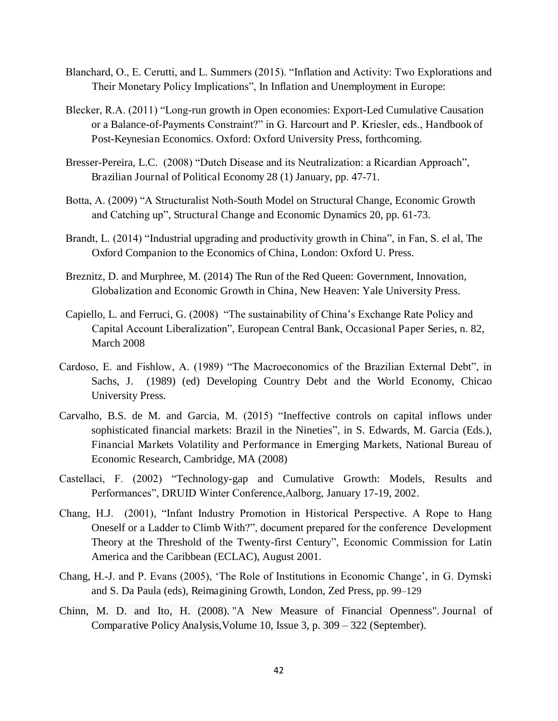- Blanchard, O., E. Cerutti, and L. Summers (2015). "Inflation and Activity: Two Explorations and Their Monetary Policy Implications", In Inflation and Unemployment in Europe:
- Blecker, R.A. (2011) "Long-run growth in Open economies: Export-Led Cumulative Causation or a Balance-of-Payments Constraint?" in G. Harcourt and P. Kriesler, eds., Handbook of Post-Keynesian Economics. Oxford: Oxford University Press, forthcoming.
- Bresser-Pereira, L.C. (2008) "Dutch Disease and its Neutralization: a Ricardian Approach", Brazilian Journal of Political Economy 28 (1) January, pp. 47-71.
- Botta, A. (2009) "A Structuralist Noth-South Model on Structural Change, Economic Growth and Catching up", Structural Change and Economic Dynamics 20, pp. 61-73.
- Brandt, L. (2014) "Industrial upgrading and productivity growth in China", in Fan, S. el al, The Oxford Companion to the Economics of China, London: Oxford U. Press.
- Breznitz, D. and Murphree, M. (2014) The Run of the Red Queen: Government, Innovation, Globalization and Economic Growth in China, New Heaven: Yale University Press.
- Capiello, L. and Ferruci, G. (2008) "The sustainability of China's Exchange Rate Policy and Capital Account Liberalization", European Central Bank, Occasional Paper Series, n. 82, March 2008
- Cardoso, E. and Fishlow, A. (1989) "The Macroeconomics of the Brazilian External Debt", in Sachs, J. (1989) (ed) Developing Country Debt and the World Economy, Chicao University Press.
- Carvalho, B.S. de M. and Garcia, M. (2015) "Ineffective controls on capital inflows under sophisticated financial markets: Brazil in the Nineties", in S. Edwards, M. Garcia (Eds.), Financial Markets Volatility and Performance in Emerging Markets, National Bureau of Economic Research, Cambridge, MA (2008)
- Castellaci, F. (2002) "Technology-gap and Cumulative Growth: Models, Results and Performances", DRUID Winter Conference, Aalborg, January 17-19, 2002.
- Chang, H.J. (2001), "Infant Industry Promotion in Historical Perspective. A Rope to Hang Oneself or a Ladder to Climb With?", document prepared for the conference Development Theory at the Threshold of the Twenty-first Century", Economic Commission for Latin America and the Caribbean (ECLAC), August 2001.
- Chang, H.-J. and P. Evans (2005), ‗The Role of Institutions in Economic Change', in G. Dymski and S. Da Paula (eds), Reimagining Growth, London, Zed Press, pp. 99–129
- Chinn, M. D. and Ito, H. (2008). ["A New Measure of Financial Openness".](http://web.pdx.edu/~ito/kaopen_Chinn-Ito_hi0523.pdf) Journal of Comparative Policy Analysis,Volume 10, Issue 3, p. 309 – 322 (September).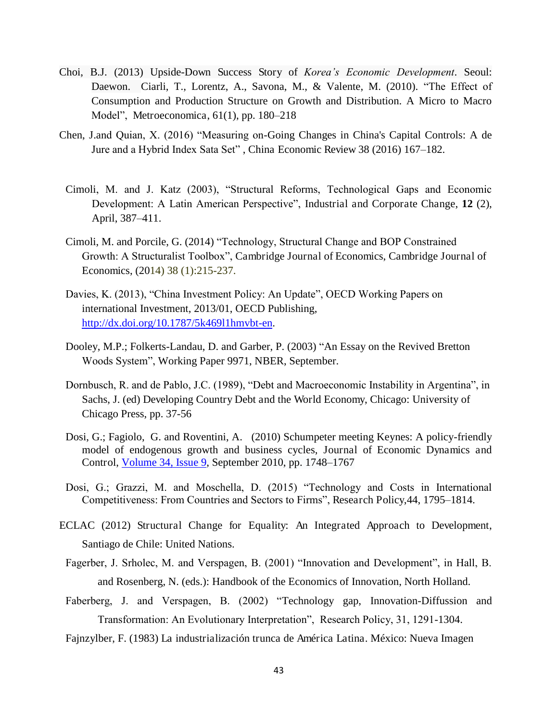- Choi, B.J. (2013) Upside-Down Success Story of *Korea"s Economic Development*. Seoul: Daewon. Ciarli, T., Lorentz, A., Savona, M., & Valente, M. (2010). "The Effect of Consumption and Production Structure on Growth and Distribution. A Micro to Macro Model", Metroeconomica,  $61(1)$ , pp.  $180-218$
- Chen, J.and Quian, X. (2016) "Measuring on-Going Changes in China's Capital Controls: A de Jure and a Hybrid Index Sata Set", China Economic Review 38 (2016) 167-182.
	- Cimoli, M. and J. Katz (2003), "Structural Reforms, Technological Gaps and Economic Development: A Latin American Perspective", Industrial and Corporate Change, 12 (2), April, 387–411.
	- Cimoli, M. and Porcile, G. (2014) "Technology, Structural Change and BOP Constrained Growth: A Structuralist Toolbox", Cambridge Journal of Economics, Cambridge Journal of Economics, (2014) 38 (1):215-237.
	- Davies, K. (2013), "China Investment Policy: An Update", OECD Working Papers on international Investment, 2013/01, OECD Publishing, [http://dx.doi.org/10.1787/5k469l1hmvbt-en.](http://dx.doi.org/10.1787/5k469l1hmvbt-en)
	- Dooley, M.P.; Folkerts-Landau, D. and Garber, P. (2003) "An Essay on the Revived Bretton Woods System", Working Paper 9971, NBER, September.
	- Dornbusch, R. and de Pablo, J.C. (1989), "Debt and Macroeconomic Instability in Argentina", in Sachs, J. (ed) Developing Country Debt and the World Economy, Chicago: University of Chicago Press, pp. 37-56
	- Dosi, G.; Fagiolo, G. and Roventini, A. (2010) Schumpeter meeting Keynes: A policy-friendly model of endogenous growth and business cycles, Journal of Economic Dynamics and Control, [Volume 34, Issue 9,](http://www.sciencedirect.com/science/journal/01651889/34/9) September 2010, pp. 1748–1767
	- Dosi, G.; Grazzi, M. and Moschella, D. (2015) "Technology and Costs in International Competitiveness: From Countries and Sectors to Firms", Research Policy, 44, 1795–1814.
- ECLAC (2012) Structural Change for Equality: An Integrated Approach to Development, Santiago de Chile: United Nations.
	- Fagerber, J. Srholec, M. and Verspagen, B. (2001) "Innovation and Development", in Hall, B. and Rosenberg, N. (eds.): Handbook of the Economics of Innovation, North Holland.
- Faberberg, J. and Verspagen, B. (2002) "Technology gap, Innovation-Diffussion and Transformation: An Evolutionary Interpretation", Research Policy, 31, 1291-1304.
- Fajnzylber, F. (1983) La industrialización trunca de América Latina. México: Nueva Imagen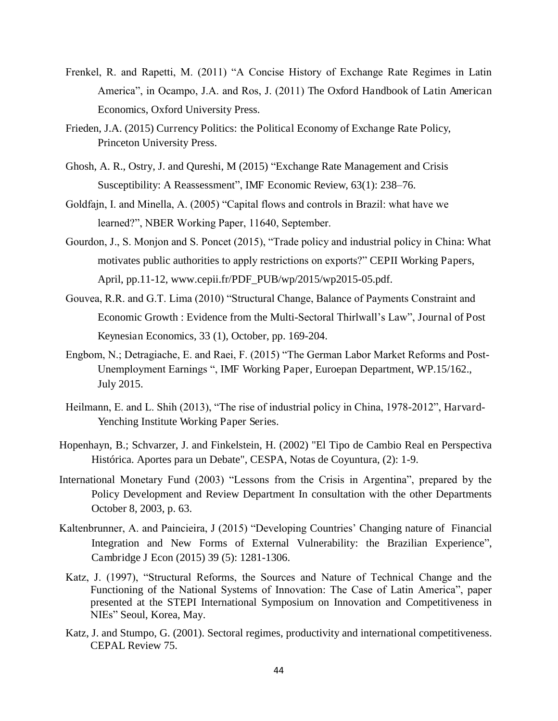- Frenkel, R. and Rapetti, M. (2011) "A Concise History of Exchange Rate Regimes in Latin America", in Ocampo, J.A. and Ros, J. (2011) The Oxford Handbook of Latin American Economics, Oxford University Press.
- Frieden, J.A. (2015) Currency Politics: the Political Economy of Exchange Rate Policy, Princeton University Press.
- Ghosh, A. R., Ostry, J. and Qureshi, M (2015) "Exchange Rate Management and Crisis Susceptibility: A Reassessment", IMF Economic Review, 63(1): 238–76.
- Goldfajn, I. and Minella, A. (2005) "Capital flows and controls in Brazil: what have we learned?", NBER Working Paper, 11640, September.
- Gourdon, J., S. Monjon and S. Poncet (2015), "Trade policy and industrial policy in China: What motivates public authorities to apply restrictions on exports?" CEPII Working Papers, April, pp.11-12, www.cepii.fr/PDF\_PUB/wp/2015/wp2015-05.pdf.
- Gouvea, R.R. and G.T. Lima (2010) "Structural Change, Balance of Payments Constraint and Economic Growth : Evidence from the Multi-Sectoral Thirlwall's Law", Journal of Post Keynesian Economics, 33 (1), October, pp. 169-204.
- Engbom, N.; Detragiache, E. and Raei, F. (2015) "The German Labor Market Reforms and Post-Unemployment Earnings ", IMF Working Paper, Euroepan Department, WP.15/162., July 2015.
- Heilmann, E. and L. Shih (2013), "The rise of industrial policy in China, 1978-2012", Harvard-Yenching Institute Working Paper Series.
- Hopenhayn, B.; Schvarzer, J. and Finkelstein, H. (2002) "El Tipo de Cambio Real en Perspectiva Histórica. Aportes para un Debate", CESPA, Notas de Coyuntura, (2): 1-9.
- International Monetary Fund (2003) "Lessons from the Crisis in Argentina", prepared by the Policy Development and Review Department In consultation with the other Departments October 8, 2003, p. 63.
- Kaltenbrunner, A. and Paincieira, J (2015) "Developing Countries' Changing nature of Financial Integration and New Forms of External Vulnerability: the Brazilian Experience", Cambridge J Econ (2015) 39 (5): 1281-1306.
- Katz, J. (1997), "Structural Reforms, the Sources and Nature of Technical Change and the Functioning of the National Systems of Innovation: The Case of Latin America", paper presented at the STEPI International Symposium on Innovation and Competitiveness in NIEs" Seoul, Korea, May.
- Katz, J. and Stumpo, G. (2001). Sectoral regimes, productivity and international competitiveness. CEPAL Review 75.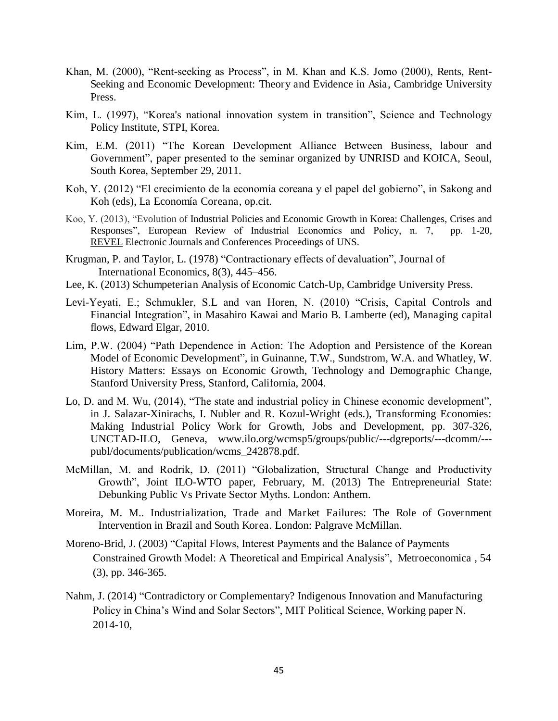- Khan, M. (2000), "Rent-seeking as Process", in M. Khan and K.S. Jomo (2000), Rents, Rent-Seeking and Economic Development: Theory and Evidence in Asia, Cambridge University Press.
- Kim, L. (1997), "Korea's national innovation system in transition", Science and Technology Policy Institute, STPI, Korea.
- Kim, E.M. (2011) "The Korean Development Alliance Between Business, labour and Government", paper presented to the seminar organized by UNRISD and KOICA, Seoul, South Korea, September 29, 2011.
- Koh, Y. (2012) "El crecimiento de la economía coreana y el papel del gobierno", in Sakong and Koh (eds), La Economía Coreana, op.cit.
- Koo, Y. (2013), "Evolution of Industrial Policies and Economic Growth in Korea: Challenges, Crises and Responses", European Review of Industrial Economics and Policy, n. 7, pp. 1-20, [REVEL](http://revel.unice.fr/index.html) Electronic Journals and Conferences Proceedings of UNS.
- Krugman, P. and Taylor, L. (1978) "Contractionary effects of devaluation", Journal of [International Economics,](http://www.sciencedirect.com/science/journal/00221996) 8(3), 445–456.
- Lee, K. (2013) Schumpeterian Analysis of Economic Catch-Up, Cambridge University Press.
- Levi-Yeyati, E.; Schmukler, S.L and van Horen, N. (2010) "Crisis, Capital Controls and Financial Integration", in Masahiro Kawai and Mario B. Lamberte (ed), Managing capital flows, Edward Elgar, 2010.
- Lim, P.W. (2004) "Path Dependence in Action: The Adoption and Persistence of the Korean Model of Economic Development", in Guinanne, T.W., Sundstrom, W.A. and Whatley, W. History Matters: Essays on Economic Growth, Technology and Demographic Change, Stanford University Press, Stanford, California, 2004.
- Lo, D. and M. Wu, (2014), "The state and industrial policy in Chinese economic development", in J. Salazar-Xinirachs, I. Nubler and R. Kozul-Wright (eds.), Transforming Economies: Making Industrial Policy Work for Growth, Jobs and Development, pp. 307-326, UNCTAD-ILO, Geneva, www.ilo.org/wcmsp5/groups/public/---dgreports/---dcomm/-- publ/documents/publication/wcms\_242878.pdf.
- McMillan, M. and Rodrik, D. (2011) "Globalization, Structural Change and Productivity Growth", Joint ILO-WTO paper, February, M. (2013) The Entrepreneurial State: Debunking Public Vs Private Sector Myths. London: Anthem.
- Moreira, M. M.. Industrialization, Trade and Market Failures: The Role of Government Intervention in Brazil and South Korea. London: Palgrave McMillan.
- Moreno-Brid, J. (2003) "Capital Flows, Interest Payments and the Balance of Payments Constrained Growth Model: A Theoretical and Empirical Analysis", Metroeconomica, 54 (3), pp. 346-365.
- Nahm, J. (2014) "Contradictory or Complementary? Indigenous Innovation and Manufacturing Policy in China's Wind and Solar Sectors", MIT Political Science, Working paper N. 2014-10,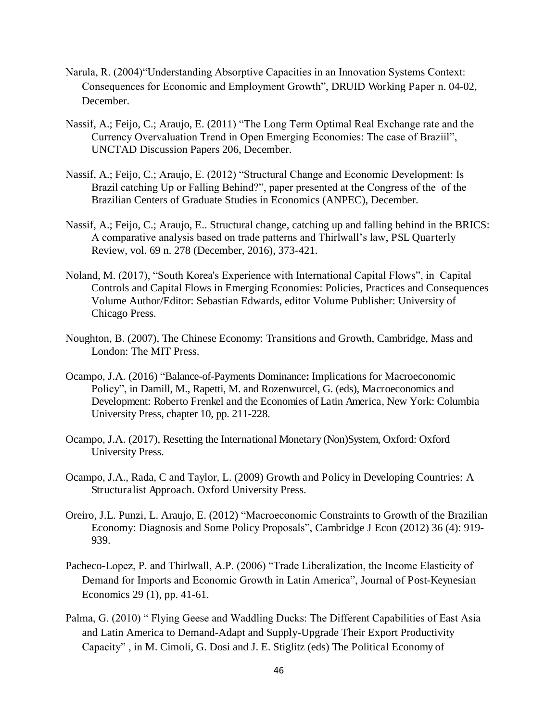- Narula, R. (2004) "Understanding Absorptive Capacities in an Innovation Systems Context: Consequences for Economic and Employment Growth", DRUID Working Paper n. 04-02, December.
- Nassif, A.; Feijo, C.; Araujo, E. (2011) "The Long Term Optimal Real Exchange rate and the Currency Overvaluation Trend in Open Emerging Economies: The case of Braziil", UNCTAD Discussion Papers 206, December.
- Nassif, A.; Feijo, C.; Araujo, E. (2012) "Structural Change and Economic Development: Is Brazil catching Up or Falling Behind?", paper presented at the Congress of the of the Brazilian Centers of Graduate Studies in Economics (ANPEC), December.
- Nassif, A.; Feijo, C.; Araujo, E.. Structural change, catching up and falling behind in the BRICS: A comparative analysis based on trade patterns and Thirlwall's law, PSL Quarterly Review, vol. 69 n. 278 (December, 2016), 373-421.
- Noland, M. (2017), "South Korea's Experience with International Capital Flows", in Capital Controls and Capital Flows in Emerging Economies: Policies, Practices and Consequences Volume Author/Editor: Sebastian Edwards, editor Volume Publisher: University of Chicago Press.
- Noughton, B. (2007), The Chinese Economy: Transitions and Growth, Cambridge, Mass and London: The MIT Press.
- Ocampo, J.A. (2016) "Balance-of-Payments Dominance: Implications for Macroeconomic Policy", in Damill, M., Rapetti, M. and Rozenwurcel, G. (eds), Macroeconomics and Development: Roberto Frenkel and the Economies of Latin America, New York: Columbia University Press, chapter 10, pp. 211-228.
- Ocampo, J.A. (2017), Resetting the International Monetary (Non)System, Oxford: Oxford University Press.
- Ocampo, J.A., Rada, C and Taylor, L. (2009) Growth and Policy in Developing Countries: A Structuralist Approach. Oxford University Press.
- Oreiro, J.L. Punzi, L. Araujo, E. (2012) "Macroeconomic Constraints to Growth of the Brazilian Economy: Diagnosis and Some Policy Proposals", Cambridge J Econ (2012) 36 (4): 919-939.
- Pacheco-Lopez, P. and Thirlwall, A.P. (2006) "Trade Liberalization, the Income Elasticity of Demand for Imports and Economic Growth in Latin America", Journal of Post-Keynesian Economics 29 (1), pp. 41-61.
- Palma, G. (2010) " Flying Geese and Waddling Ducks: The Different Capabilities of East Asia and Latin America to Demand-Adapt and Supply-Upgrade Their Export Productivity Capacity", in M. Cimoli, G. Dosi and J. E. Stiglitz (eds) The Political Economy of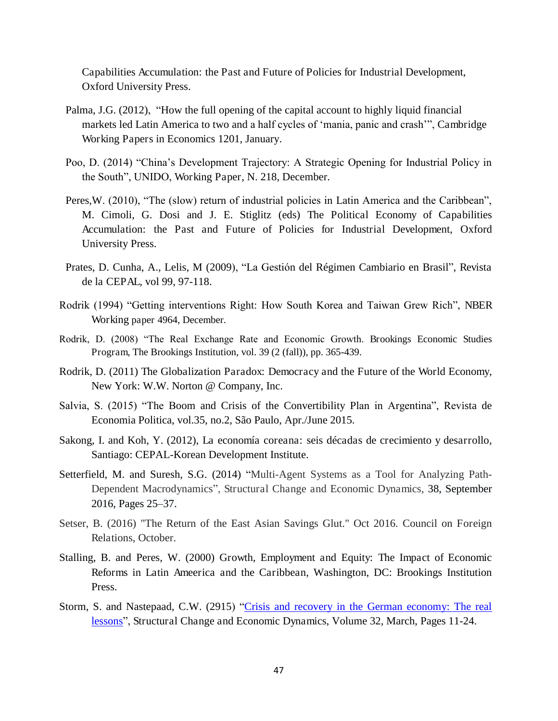Capabilities Accumulation: the Past and Future of Policies for Industrial Development, Oxford University Press.

- Palma, J.G. (2012), "How the full opening of the capital account to highly liquid financial markets led Latin America to two and a half cycles of 'mania, panic and crash'", Cambridge Working Papers in Economics 1201, January.
- Poo, D. (2014) "China's Development Trajectory: A Strategic Opening for Industrial Policy in the South", UNIDO, Working Paper, N. 218, December.
- Peres, W. (2010), "The (slow) return of industrial policies in Latin America and the Caribbean", M. Cimoli, G. Dosi and J. E. Stiglitz (eds) The Political Economy of Capabilities Accumulation: the Past and Future of Policies for Industrial Development, Oxford University Press.
- Prates, D. Cunha, A., Lelis, M (2009), "La Gestión del Régimen Cambiario en Brasil", Revista de la CEPAL, vol 99, 97-118.
- Rodrik (1994) "Getting interventions Right: How South Korea and Taiwan Grew Rich", NBER Working paper 4964, December.
- Rodrik, D. (2008) "The Real Exchange Rate and Economic Growth. Brookings Economic Studies Program, The Brookings Institution, vol. 39 (2 (fall)), pp. 365-439.
- Rodrik, D. (2011) The Globalization Paradox: Democracy and the Future of the World Economy, New York: W.W. Norton @ Company, Inc.
- Salvia, S. (2015) "The Boom and Crisis of the Convertibility Plan in Argentina", Revista de Economia Politica, vol.35, no.2, São Paulo, Apr./June 2015.
- Sakong, I. and Koh, Y. (2012), La economía coreana: seis décadas de crecimiento y desarrollo, Santiago: CEPAL-Korean Development Institute.
- Setterfield, M. and Suresh, S.G. (2014) "Multi-Agent Systems as a Tool for Analyzing Path-Dependent Macrodynamics", Structural Change and Economic Dynamics, [38,](http://www.sciencedirect.com/science/journal/0954349X/38/supp/C) September 2016, Pages 25–37.
- Setser, B. (2016) "The Return of the East Asian Savings Glut." Oct 2016. Council on Foreign Relations, October.
- Stalling, B. and Peres, W. (2000) Growth, Employment and Equity: The Impact of Economic Reforms in Latin Ameerica and the Caribbean, Washington, DC: Brookings Institution Press.
- Storm, S. and Nastepaad, C.W. (2915) "Crisis and recovery in the German economy: The real [lessons](http://www.sciencedirect.com/science/article/pii/S0954349X15000028)", Structural Change and Economic Dynamics, Volume 32, March, Pages 11-24.